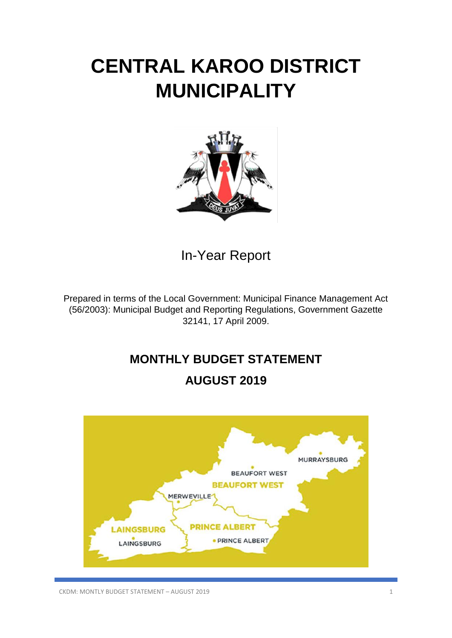# **CENTRAL KAROO DISTRICT MUNICIPALITY**



In-Year Report

Prepared in terms of the Local Government: Municipal Finance Management Act (56/2003): Municipal Budget and Reporting Regulations, Government Gazette 32141, 17 April 2009.

## **MONTHLY BUDGET STATEMENT**

### **AUGUST 2019**

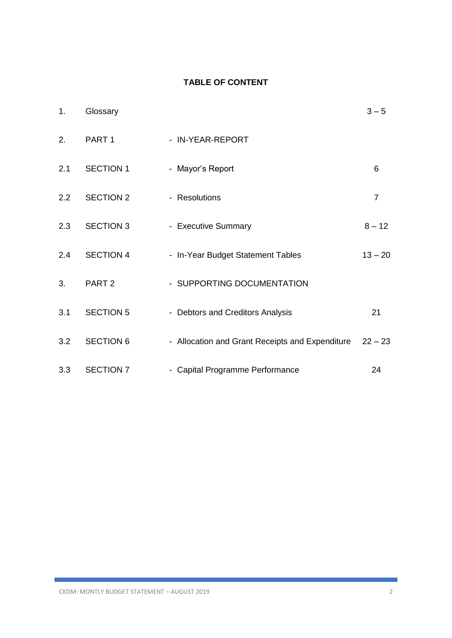### **TABLE OF CONTENT**

| 1.            | Glossary          |                                                 | $3 - 5$        |
|---------------|-------------------|-------------------------------------------------|----------------|
| 2.            | PART <sub>1</sub> | - IN-YEAR-REPORT                                |                |
| 2.1           | <b>SECTION 1</b>  | - Mayor's Report                                | 6              |
| $2.2^{\circ}$ | <b>SECTION 2</b>  | - Resolutions                                   | $\overline{7}$ |
| 2.3           | <b>SECTION 3</b>  | - Executive Summary                             | $8 - 12$       |
| 2.4           | <b>SECTION 4</b>  | - In-Year Budget Statement Tables               | $13 - 20$      |
| 3.            | PART <sub>2</sub> | - SUPPORTING DOCUMENTATION                      |                |
| 3.1           | <b>SECTION 5</b>  | - Debtors and Creditors Analysis                | 21             |
| 3.2           | <b>SECTION 6</b>  | - Allocation and Grant Receipts and Expenditure | $22 - 23$      |
| 3.3           | <b>SECTION 7</b>  | - Capital Programme Performance                 | 24             |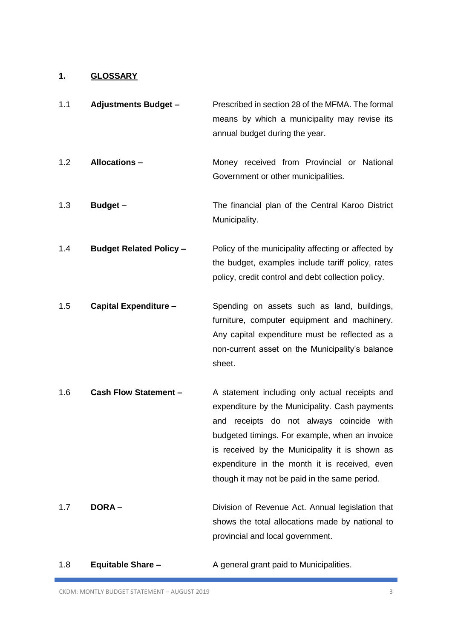### **1. GLOSSARY**

| 1.1 | <b>Adjustments Budget -</b>    | Prescribed in section 28 of the MFMA. The formal<br>means by which a municipality may revise its<br>annual budget during the year.                                                                                                                                                                                                                    |
|-----|--------------------------------|-------------------------------------------------------------------------------------------------------------------------------------------------------------------------------------------------------------------------------------------------------------------------------------------------------------------------------------------------------|
| 1.2 | <b>Allocations -</b>           | Money received from Provincial or National<br>Government or other municipalities.                                                                                                                                                                                                                                                                     |
| 1.3 | <b>Budget -</b>                | The financial plan of the Central Karoo District<br>Municipality.                                                                                                                                                                                                                                                                                     |
| 1.4 | <b>Budget Related Policy -</b> | Policy of the municipality affecting or affected by<br>the budget, examples include tariff policy, rates<br>policy, credit control and debt collection policy.                                                                                                                                                                                        |
| 1.5 | <b>Capital Expenditure -</b>   | Spending on assets such as land, buildings,<br>furniture, computer equipment and machinery.<br>Any capital expenditure must be reflected as a<br>non-current asset on the Municipality's balance<br>sheet.                                                                                                                                            |
| 1.6 | <b>Cash Flow Statement -</b>   | A statement including only actual receipts and<br>expenditure by the Municipality. Cash payments<br>receipts do not always coincide with<br>and<br>budgeted timings. For example, when an invoice<br>is received by the Municipality it is shown as<br>expenditure in the month it is received, even<br>though it may not be paid in the same period. |
| 1.7 | <b>DORA-</b>                   | Division of Revenue Act. Annual legislation that<br>shows the total allocations made by national to<br>provincial and local government.                                                                                                                                                                                                               |

1.8 **Equitable Share –** A general grant paid to Municipalities.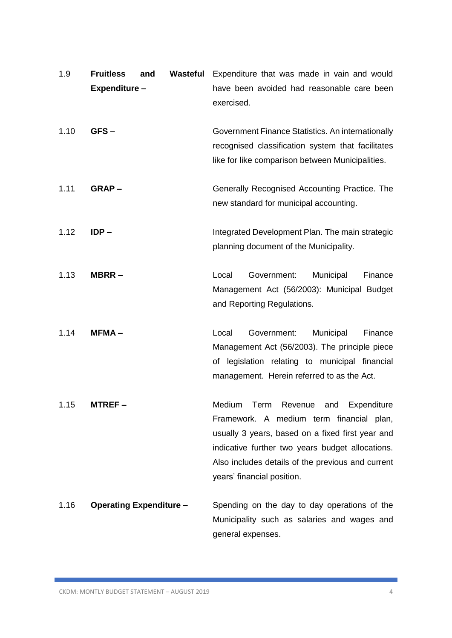| 1.9  | <b>Fruitless</b><br>Expenditure- | and | Wasteful | Expenditure that was made in vain and would<br>have been avoided had reasonable care been<br>exercised.                                                                                                                                                                          |
|------|----------------------------------|-----|----------|----------------------------------------------------------------------------------------------------------------------------------------------------------------------------------------------------------------------------------------------------------------------------------|
| 1.10 | GFS-                             |     |          | Government Finance Statistics. An internationally<br>recognised classification system that facilitates<br>like for like comparison between Municipalities.                                                                                                                       |
| 1.11 | GRAP-                            |     |          | Generally Recognised Accounting Practice. The<br>new standard for municipal accounting.                                                                                                                                                                                          |
| 1.12 | $IDP -$                          |     |          | Integrated Development Plan. The main strategic<br>planning document of the Municipality.                                                                                                                                                                                        |
| 1.13 | MBRR-                            |     |          | Local<br>Government:<br>Municipal<br>Finance<br>Management Act (56/2003): Municipal Budget<br>and Reporting Regulations.                                                                                                                                                         |
| 1.14 | $MFMA -$                         |     |          | Government:<br>Local<br>Municipal<br>Finance<br>Management Act (56/2003). The principle piece<br>of legislation relating to municipal financial<br>management. Herein referred to as the Act.                                                                                    |
| 1.15 | MTREF –                          |     |          | Revenue and Expenditure<br>Medium<br>Term<br>Framework. A medium term financial plan,<br>usually 3 years, based on a fixed first year and<br>indicative further two years budget allocations.<br>Also includes details of the previous and current<br>years' financial position. |
| 1.16 | <b>Operating Expenditure -</b>   |     |          | Spending on the day to day operations of the<br>Municipality such as salaries and wages and<br>general expenses.                                                                                                                                                                 |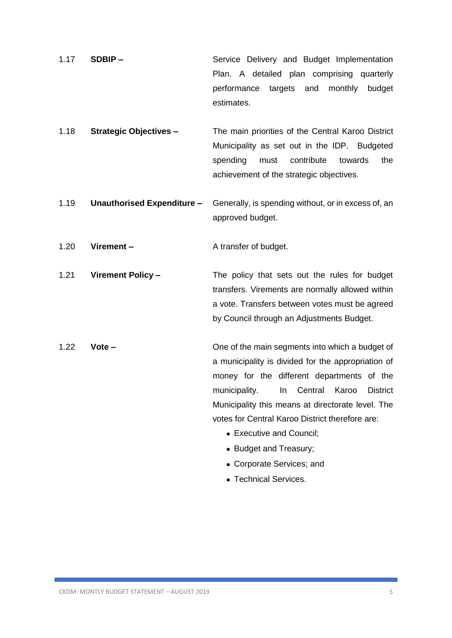- 1.17 **SDBIP –** Service Delivery and Budget Implementation Plan. A detailed plan comprising quarterly performance targets and monthly budget estimates.
- 1.18 **Strategic Objectives –** The main priorities of the Central Karoo District Municipality as set out in the IDP. Budgeted spending must contribute towards the achievement of the strategic objectives.
- 1.19 **Unauthorised Expenditure –** Generally, is spending without, or in excess of, an approved budget.

1.20 **Virement –** A transfer of budget.

1.21 **Virement Policy –** The policy that sets out the rules for budget transfers. Virements are normally allowed within a vote. Transfers between votes must be agreed by Council through an Adjustments Budget.

- 1.22 **Vote –** One of the main segments into which a budget of a municipality is divided for the appropriation of money for the different departments of the municipality. In Central Karoo District Municipality this means at directorate level. The votes for Central Karoo District therefore are:
	- Executive and Council;
	- Budget and Treasury;
	- Corporate Services; and
	- Technical Services.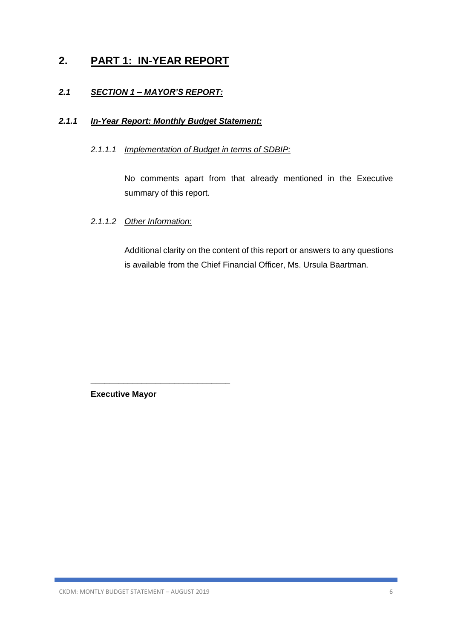### **2. PART 1: IN-YEAR REPORT**

#### *2.1 SECTION 1 – MAYOR'S REPORT:*

#### *2.1.1 In-Year Report: Monthly Budget Statement:*

#### *2.1.1.1 Implementation of Budget in terms of SDBIP:*

No comments apart from that already mentioned in the Executive summary of this report.

#### *2.1.1.2 Other Information:*

Additional clarity on the content of this report or answers to any questions is available from the Chief Financial Officer, Ms. Ursula Baartman.

**Executive Mayor**

**\_\_\_\_\_\_\_\_\_\_\_\_\_\_\_\_\_\_\_\_\_\_\_\_\_\_\_\_\_\_**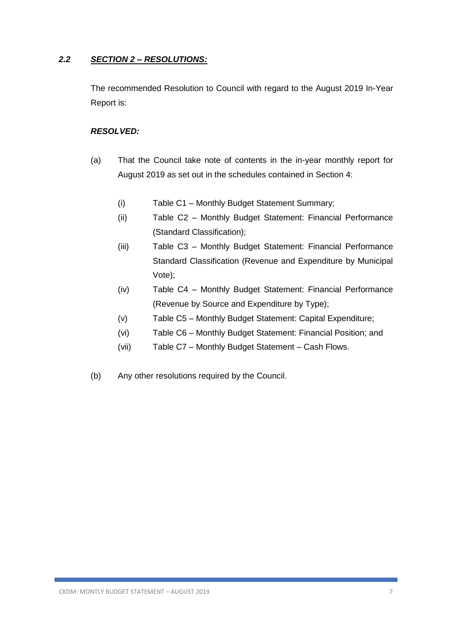#### *2.2 SECTION 2 – RESOLUTIONS:*

The recommended Resolution to Council with regard to the August 2019 In-Year Report is:

#### *RESOLVED:*

- (a) That the Council take note of contents in the in-year monthly report for August 2019 as set out in the schedules contained in Section 4:
	- (i) Table C1 Monthly Budget Statement Summary;
	- (ii) Table C2 Monthly Budget Statement: Financial Performance (Standard Classification);
	- (iii) Table C3 Monthly Budget Statement: Financial Performance Standard Classification (Revenue and Expenditure by Municipal Vote);
	- (iv) Table C4 Monthly Budget Statement: Financial Performance (Revenue by Source and Expenditure by Type);
	- (v) Table C5 Monthly Budget Statement: Capital Expenditure;
	- (vi) Table C6 Monthly Budget Statement: Financial Position; and
	- (vii) Table C7 Monthly Budget Statement Cash Flows.
- (b) Any other resolutions required by the Council.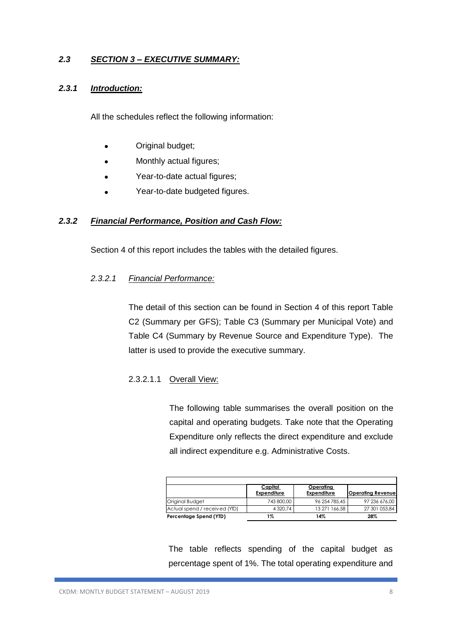#### *2.3 SECTION 3 – EXECUTIVE SUMMARY:*

#### *2.3.1 Introduction:*

All the schedules reflect the following information:

- Original budget;
- Monthly actual figures;
- Year-to-date actual figures;
- Year-to-date budgeted figures.

#### *2.3.2 Financial Performance, Position and Cash Flow:*

Section 4 of this report includes the tables with the detailed figures.

#### *2.3.2.1 Financial Performance:*

The detail of this section can be found in Section 4 of this report Table C2 (Summary per GFS); Table C3 (Summary per Municipal Vote) and Table C4 (Summary by Revenue Source and Expenditure Type). The latter is used to provide the executive summary.

#### 2.3.2.1.1 Overall View:

The following table summarises the overall position on the capital and operating budgets. Take note that the Operating Expenditure only reflects the direct expenditure and exclude all indirect expenditure e.g. Administrative Costs.

|                               | Capital<br>Expenditure | <u>Operatina</u><br>Expenditure | <b>Operating Revenue</b> |
|-------------------------------|------------------------|---------------------------------|--------------------------|
| Original Budget               | 743 800.00             | 96 254 785.45                   | 97 236 676.00            |
| Actual spend / received (YID) | 4 3 2 0.74             | 13 271 166.58                   | 27 301 053.84            |
| Percentage Spend (YTD)        | 1%                     | 14%                             | 28%                      |

The table reflects spending of the capital budget as percentage spent of 1%. The total operating expenditure and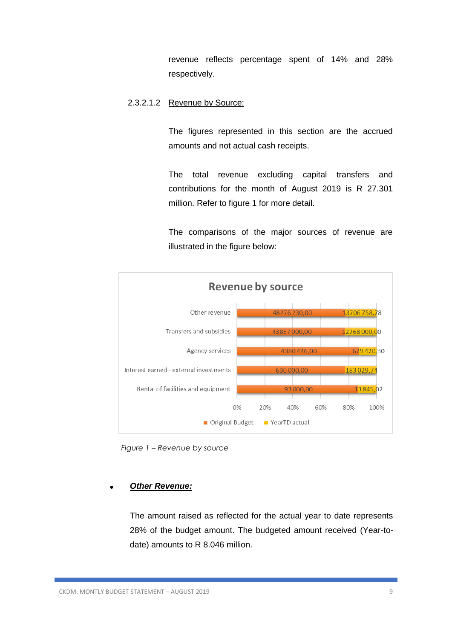revenue reflects percentage spent of 14% and 28% respectively.

#### 2.3.2.1.2 Revenue by Source:

The figures represented in this section are the accrued amounts and not actual cash receipts.

The total revenue excluding capital transfers and contributions for the month of August 2019 is R 27.301 million. Refer to figure 1 for more detail.

The comparisons of the major sources of revenue are illustrated in the figure below:



 *Figure 1 – Revenue by source* 

#### • *Other Revenue:*

The amount raised as reflected for the actual year to date represents 28% of the budget amount. The budgeted amount received (Year-todate) amounts to R 8.046 million.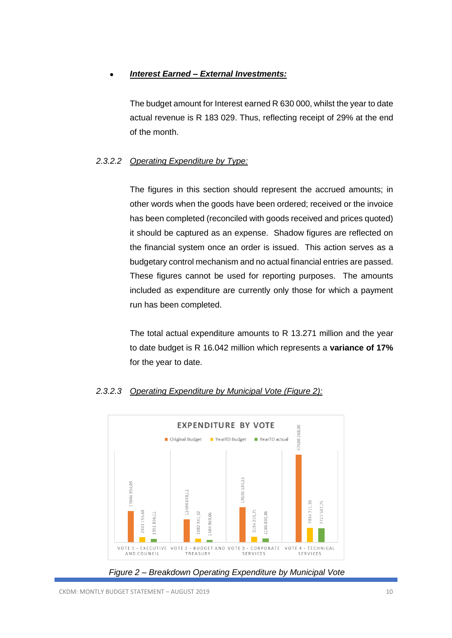#### • *Interest Earned – External Investments:*

The budget amount for Interest earned R 630 000, whilst the year to date actual revenue is R 183 029. Thus, reflecting receipt of 29% at the end of the month.

#### *2.3.2.2 Operating Expenditure by Type:*

The figures in this section should represent the accrued amounts; in other words when the goods have been ordered; received or the invoice has been completed (reconciled with goods received and prices quoted) it should be captured as an expense. Shadow figures are reflected on the financial system once an order is issued. This action serves as a budgetary control mechanism and no actual financial entries are passed. These figures cannot be used for reporting purposes. The amounts included as expenditure are currently only those for which a payment run has been completed.

The total actual expenditure amounts to R 13.271 million and the year to date budget is R 16.042 million which represents a **variance of 17%** for the year to date.



#### *2.3.2.3 Operating Expenditure by Municipal Vote (Figure 2):*

*Figure 2 – Breakdown Operating Expenditure by Municipal Vote*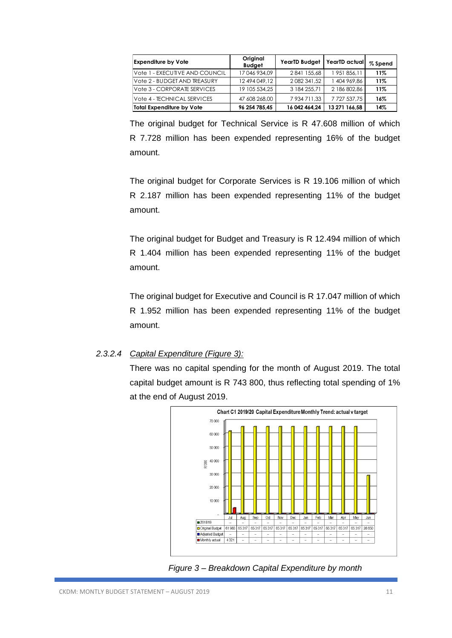| <b>Expenditure by Vote</b>     | Original<br><b>Budget</b> | <b>YearTD Budget</b> | YearTD actual       | % Spend |
|--------------------------------|---------------------------|----------------------|---------------------|---------|
| Vote 1 - EXECUTIVE AND COUNCIL | 17 046 934.09             | 2841 155,68          | 1 951 856,11        | 11%     |
| Vote 2 - BUDGET AND TREASURY   | 12 494 049.12             | 2 082 341,52         | 1404969.86          | 11%     |
| Vote 3 - CORPORATE SERVICES    | 19 105 534.25             | 3 184 255.71         | 2 186 802.86        | 11%     |
| Vote 4 - TECHNICAL SERVICES    | 47 608 268,00             | 7 934 711,33         | 7 7 2 7 5 3 7 . 7 5 | 16%     |
| Total Expenditure by Vote      | 96 254 785.45             | 16 042 464.24        | 13 271 166.58       | 14%     |

The original budget for Technical Service is R 47.608 million of which R 7.728 million has been expended representing 16% of the budget amount.

The original budget for Corporate Services is R 19.106 million of which R 2.187 million has been expended representing 11% of the budget amount.

The original budget for Budget and Treasury is R 12.494 million of which R 1.404 million has been expended representing 11% of the budget amount.

The original budget for Executive and Council is R 17.047 million of which R 1.952 million has been expended representing 11% of the budget amount.

#### *2.3.2.4 Capital Expenditure (Figure 3):*

There was no capital spending for the month of August 2019. The total capital budget amount is R 743 800, thus reflecting total spending of 1% at the end of August 2019.



 *Figure 3 – Breakdown Capital Expenditure by month*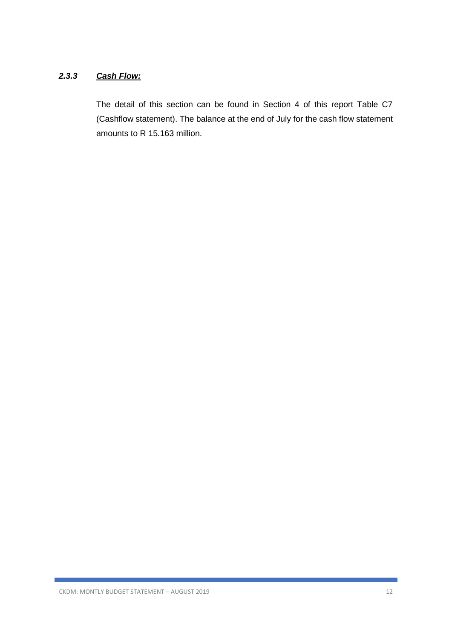#### *2.3.3 Cash Flow:*

The detail of this section can be found in Section 4 of this report Table C7 (Cashflow statement). The balance at the end of July for the cash flow statement amounts to R 15.163 million.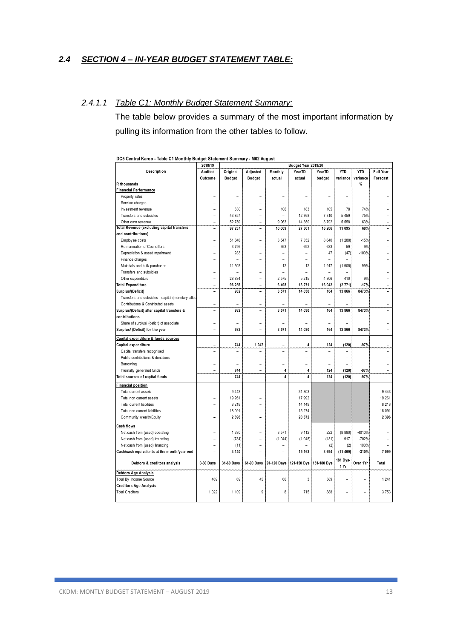#### *2.4 SECTION 4 – IN-YEAR BUDGET STATEMENT TABLE:*

#### *2.4.1.1 Table C1: Monthly Budget Statement Summary:*

The table below provides a summary of the most important information by pulling its information from the other tables to follow.

|                                                   | 2018/19                  |                          |                |                | Budget Year 2019/20 |                |                  |                |                  |
|---------------------------------------------------|--------------------------|--------------------------|----------------|----------------|---------------------|----------------|------------------|----------------|------------------|
| Description                                       | Audited                  | Original                 | Adjusted       | Monthly        | YearTD              | YearTD         | <b>YTD</b>       | <b>YTD</b>     | <b>Full Year</b> |
|                                                   | Outcome                  | <b>Budget</b>            | <b>Budget</b>  | actual         | actual              | budget         | variance         | variance       | Forecast         |
| R thousands                                       |                          |                          |                |                |                     |                |                  | %              |                  |
| Financial Performance                             |                          |                          |                |                |                     |                |                  |                |                  |
| Property rates                                    |                          |                          |                | $\overline{a}$ | $\overline{a}$      |                | ۳                |                |                  |
| Service charges                                   |                          | $\overline{\phantom{a}}$ | ۰              | $\overline{a}$ | $\overline{a}$      | ۳              | $\overline{a}$   |                |                  |
| Investment revenue                                |                          | 630                      | $\overline{a}$ | 106            | 183                 | 105            | 78               | 74%            |                  |
| Transfers and subsidies                           | ۳                        | 43 857                   | $\overline{a}$ | $\overline{a}$ | 12 768              | 7 3 1 0        | 5 4 5 9          | 75%            |                  |
| Other own revenue                                 | $\overline{a}$           | 52 750                   | $\overline{a}$ | 9963           | 14 350              | 8792           | 5 5 5 8          | 63%            |                  |
| <b>Total Revenue (excluding capital transfers</b> |                          | 97 237                   | ÷              | 10 069         | 27 301              | 16 206         | 11 095           | 68%            |                  |
| and contributions)                                |                          |                          |                |                |                     |                |                  |                |                  |
| Employ ee costs                                   | $\overline{\phantom{0}}$ | 51 840                   | $\overline{a}$ | 3547           | 7 3 5 2             | 8 6 4 0        | (1288)           | $-15%$         |                  |
| Remuneration of Councillors                       |                          | 3796                     |                | 363            | 692                 | 633            | 59               | 9%             |                  |
| Depreciation & asset impairment                   |                          | 283                      | $\overline{a}$ | $\overline{a}$ | $\overline{a}$      | 47             | (47)             | $-100%$        |                  |
| Finance charges                                   |                          |                          |                |                |                     |                |                  |                |                  |
| Materials and bulk purchases                      |                          | 11 502                   | $\overline{a}$ | 12             | 12                  | 1917           | (1905)           | $-99%$         |                  |
| Transfers and subsidies                           |                          | $\overline{a}$           | L,             | $\overline{a}$ | $\overline{a}$      | $\overline{a}$ |                  |                |                  |
| Other expenditure                                 |                          | 28 834                   | $\overline{a}$ | 2575           | 5 2 1 5             | 4 8 0 6        | 410              | 9%             |                  |
| <b>Total Expenditure</b>                          | ۳                        | 96 255                   | ۳              | 6 4 9 8        | 13 271              | 16 042         | (2771)           | $-17%$         |                  |
| Surplus/(Deficit)                                 | L,                       | 982                      | L,             | 3571           | 14 030              | 164            | 13 866           | 8473%          |                  |
| Transfers and subsidies - capital (monetary allod | L.                       | $\overline{a}$           | $\overline{a}$ | $\overline{a}$ | $\overline{a}$      | $\overline{a}$ |                  |                |                  |
| Contributions & Contributed assets                | $\overline{a}$           | ۰                        | $\overline{a}$ | $\overline{a}$ |                     | ۳              |                  |                |                  |
| Surplus/(Deficit) after capital transfers &       | L,                       | 982                      |                | 3571           | 14 030              | 164            | 13 866           | 8473%          |                  |
| contributions                                     |                          |                          |                |                |                     |                |                  |                |                  |
| Share of surplus/ (deficit) of associate          |                          |                          | $\overline{a}$ |                |                     |                |                  |                |                  |
| Surplus/ (Deficit) for the year                   |                          | 982                      | L.             | 3 5 7 1        | 14 030              | 164            | 13 866           | 8473%          |                  |
|                                                   |                          |                          |                |                |                     |                |                  |                |                  |
| Capital expenditure & funds sources               |                          |                          |                |                |                     |                |                  |                |                  |
| Capital expenditure                               |                          | 744                      | 1 047          | -              | 4                   | 124            | (120)            | $-97%$         |                  |
| Capital transfers recognised                      | ۰                        | $\overline{a}$           | $\overline{a}$ | $\overline{a}$ | $\overline{a}$      | $\overline{a}$ | L.               |                |                  |
| Public contributions & donations                  |                          | L.                       | $\overline{a}$ | $\overline{a}$ | $\overline{a}$      | $\overline{a}$ | L                |                |                  |
| Borrow ing                                        |                          |                          | $\overline{a}$ |                |                     |                |                  |                |                  |
| Internally generated funds                        | ۰                        | 744                      | ۰              | 4              | 4                   | 124            | (120)            | $-97%$         | ۰                |
| Total sources of capital funds                    | L,                       | 744                      | $\overline{a}$ | 4              | 4                   | 124            | (120)            | $-97%$         |                  |
| Financial position                                |                          |                          |                |                |                     |                |                  |                |                  |
| Total current assets                              |                          | 9 4 4 3                  | ۰              |                | 31 803              |                |                  |                | 9 4 4 3          |
| Total non current assets                          |                          | 19 261                   | L              |                | 17 992              |                |                  |                | 19 261           |
| <b>Total current liabilities</b>                  |                          | 8 2 1 8                  | ۰              |                | 14 14 9             |                |                  |                | 8 2 1 8          |
| Total non current liabilities                     |                          | 18 091                   | $\overline{a}$ |                | 15 274              |                |                  |                | 18 091           |
| Community wealth/Equity                           |                          | 2 3 9 6                  | ÷              |                | 20 372              |                |                  |                | 2 3 9 6          |
| Cash flows                                        |                          |                          |                |                |                     |                |                  |                |                  |
| Net cash from (used) operating                    |                          | 1 3 3 0                  | $\overline{a}$ | 3571           | 9 1 1 2             | 222            | (8890)           | -4010%         |                  |
| Net cash from (used) investing                    |                          | (784)                    | $\overline{a}$ | (1044)         | (1048)              | (131)          | 917              | $-702%$        |                  |
| Net cash from (used) financing                    |                          | (11)                     | $\overline{a}$ | $\overline{a}$ |                     | (2)            | (2)              | 100%           |                  |
| Cash/cash equivalents at the month/year end       |                          | 4 140                    | L,             |                | 15 163              | 3 6 9 4        | (11469)          | $-310%$        | 7 0 9 9          |
|                                                   |                          |                          |                |                |                     |                |                  |                |                  |
| Debtors & creditors analysis                      | 0-30 Days                | 31-60 Days               | 61-90 Days     | 91-120 Days    | 121-150 Dys         | 151-180 Dys    | 181 Dys-<br>1 Yr | Over 1Yr       | <b>Total</b>     |
| <b>Debtors Age Analysis</b>                       |                          |                          |                |                |                     |                |                  |                |                  |
| Total By Income Source                            | 469                      | 69                       | 45             | 66             | 3                   | 589            |                  |                | 1 2 4 1          |
| <b>Creditors Age Analysis</b>                     |                          |                          |                |                |                     |                |                  |                |                  |
| <b>Total Creditors</b>                            | 1 0 2 2                  | 1 1 0 9                  | 9              | 8              | 715                 | 888            | ÷                | $\overline{a}$ | 3753             |
|                                                   |                          |                          |                |                |                     |                |                  |                |                  |

**DC5 Central Karoo - Table C1 Monthly Budget Statement Summary - M02 August**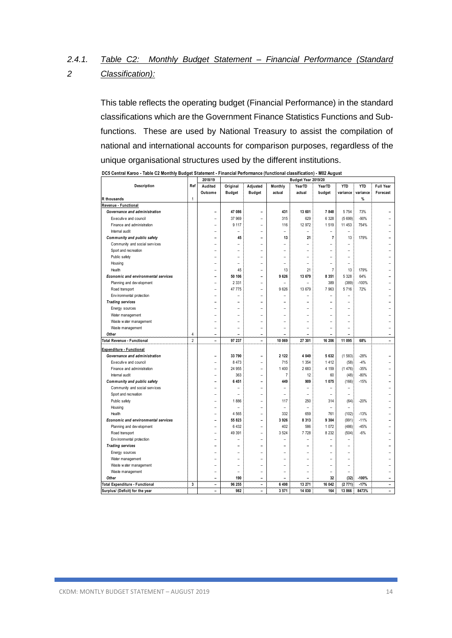#### *2.4.1. 2 Table C2: Monthly Budget Statement – Financial Performance (Standard Classification):*

This table reflects the operating budget (Financial Performance) in the standard classifications which are the Government Finance Statistics Functions and Subfunctions. These are used by National Treasury to assist the compilation of national and international accounts for comparison purposes, regardless of the unique organisational structures used by the different institutions.

| Description<br>Full Year<br>Ref<br>Audited<br>Original<br>Adjusted<br>Monthly<br><b>YTD</b><br><b>YTD</b><br>YearTD<br>YearTD<br><b>Budget</b><br>Outcome<br><b>Budget</b><br>actual<br>actual<br>budget<br>variance<br>variance<br>Forecast<br>$\mathbf{1}$<br>%<br>47 086<br>5 7 5 4<br>73%<br>Governance and administration<br>431<br>13 601<br>7848<br>$\overline{a}$<br>Executive and council<br>37 969<br>315<br>629<br>6 3 28<br>(5699)<br>$-90%$<br>$\overline{a}$<br>$\overline{a}$<br>Finance and administration<br>9 1 1 7<br>116<br>12 972<br>1519<br>11 453<br>754%<br>L,<br>Internal audit<br>$\overline{\phantom{a}}$<br>۳<br>$\overline{a}$<br>۳<br>$\overline{\phantom{a}}$<br>$\overline{\phantom{a}}$<br>۰<br>Community and public safety<br>45<br>13<br>21<br>$\overline{7}$<br>13<br>179%<br>$\overline{a}$<br>۰<br>Community and social services<br>۰<br>۳<br>۰<br>۳<br>۰<br>Sport and recreation<br>$\overline{a}$<br>$\overline{a}$<br>L.<br>$\overline{a}$<br>۳<br>۳<br>۳<br>Public safety<br>L.<br>۳<br>۰<br>۳<br>۳<br>۰<br>Housing<br>۰<br>$\overline{a}$<br>۳<br>۳<br>45<br>13<br>21<br>13<br>179%<br>Health<br>$\overline{7}$<br>L.<br>۰<br>5 3 2 8<br>64%<br>50 106<br>9 6 2 6<br>13 679<br>8 3 5 1<br>Economic and environmental services<br>$\overline{a}$<br>÷<br>2 3 3 1<br>389<br>Planning and dev elopment<br>(389)<br>-100%<br>L<br>47 775<br>9626<br>7963<br>5716<br>72%<br>13 679<br>Road transport<br>$\overline{a}$<br>Env ironmental protection<br>L<br>$\overline{a}$<br><b>Trading services</b><br>L.<br>۳<br>Energy sources<br>Water management<br>L.<br>۳<br>۳<br>$\overline{a}$<br>Waste water management<br>۳<br>۰<br>۳<br>Waste management<br>L<br>۳<br>۳<br>۳<br>$\overline{a}$<br>Other<br>4<br>L.<br>L.<br>$\overline{2}$<br>Total Revenue - Functional<br>97 237<br>11 095<br>68%<br>10 069<br>27 301<br>16 206<br>$\overline{a}$<br>$\overline{a}$<br>$\overline{a}$<br>$-28%$<br>Governance and administration<br>33 790<br>2 1 2 2<br>4 0 4 9<br>5 6 3 2<br>(1583)<br>۰<br>Executive and council<br>8 4 7 3<br>715<br>1 3 5 4<br>1412<br>$-4%$<br>(58)<br>$\overline{a}$<br>$\overline{a}$<br>24 955<br>1 4 0 0<br>2683<br>4 1 5 9<br>(1476)<br>$-35%$<br>Finance and administration<br>$\overline{\phantom{0}}$<br>$\overline{a}$<br>$\overline{7}$<br>Internal audit<br>363<br>12<br>60<br>(48)<br>$-80%$<br>$\overline{a}$<br>۳<br>6 4 5 1<br>449<br>909<br>1 0 7 5<br>(166)<br>$-15%$<br>Community and public safety<br>$\overline{a}$<br>۳<br>Community and social services<br>L,<br>۰<br>-<br>$\overline{\phantom{0}}$<br>$\overline{\phantom{0}}$<br>Sport and recreation<br>$\overline{a}$<br>$\overline{\phantom{a}}$<br>۳<br>$\overline{\phantom{a}}$<br>۰<br>-<br>1886<br>117<br>250<br>$-20%$<br>Public safety<br>314<br>(64)<br>L.<br>۳<br>Housing<br>$\overline{a}$<br>۰<br>$\overline{\phantom{a}}$<br>۳<br>۰<br>4 5 6 5<br>332<br>659<br>761<br>(102)<br>$-13%$<br>Health<br>÷<br>۳<br>55 823<br>3 9 2 6<br>9 3 0 4<br>(991)<br>$-11%$<br>Economic and environmental services<br>8 3 1 3<br>-<br>L<br>6 4 3 2<br>402<br>(486)<br>586<br>1 0 7 2<br>$-45%$<br>Planning and dev elopment<br>L,<br>49 391<br>3 5 2 4<br>8 2 3 2<br>$-6%$<br>7728<br>(504)<br>Road transport<br>L<br>Env ironmental protection<br>L<br>L<br><b>Trading services</b><br>L,<br>Energy sources<br>Water management<br>L<br>$\overline{a}$<br>L<br>$\overline{a}$<br>Waste water management<br>۰<br>$\overline{\phantom{0}}$<br>Waste management<br>$\overline{a}$<br>۰<br>۳<br>۰<br>$\overline{a}$<br>$\overline{\phantom{a}}$<br>۰<br>190<br>32<br>$-100%$<br>Other<br>(32)<br>L<br>3<br>96 255<br>6 4 9 8<br>13 271<br>16 042<br>(2771)<br>$-17%$<br>۰<br>-<br>-<br>982<br>164<br>۳<br>۳<br>$\overline{\phantom{0}}$ |                                       | 2018/19 | Budget Year 2019/20 |  |       |        |  |        |       |  |
|-------------------------------------------------------------------------------------------------------------------------------------------------------------------------------------------------------------------------------------------------------------------------------------------------------------------------------------------------------------------------------------------------------------------------------------------------------------------------------------------------------------------------------------------------------------------------------------------------------------------------------------------------------------------------------------------------------------------------------------------------------------------------------------------------------------------------------------------------------------------------------------------------------------------------------------------------------------------------------------------------------------------------------------------------------------------------------------------------------------------------------------------------------------------------------------------------------------------------------------------------------------------------------------------------------------------------------------------------------------------------------------------------------------------------------------------------------------------------------------------------------------------------------------------------------------------------------------------------------------------------------------------------------------------------------------------------------------------------------------------------------------------------------------------------------------------------------------------------------------------------------------------------------------------------------------------------------------------------------------------------------------------------------------------------------------------------------------------------------------------------------------------------------------------------------------------------------------------------------------------------------------------------------------------------------------------------------------------------------------------------------------------------------------------------------------------------------------------------------------------------------------------------------------------------------------------------------------------------------------------------------------------------------------------------------------------------------------------------------------------------------------------------------------------------------------------------------------------------------------------------------------------------------------------------------------------------------------------------------------------------------------------------------------------------------------------------------------------------------------------------------------------------------------------------------------------------------------------------------------------------------------------------------------------------------------------------------------------------------------------------------------------------------------------------------------------------------------------------------------------------------------------------------------------------------------------------------------------------------------------------------------------------------------------------------------------------------------------------------------------------------------------------|---------------------------------------|---------|---------------------|--|-------|--------|--|--------|-------|--|
|                                                                                                                                                                                                                                                                                                                                                                                                                                                                                                                                                                                                                                                                                                                                                                                                                                                                                                                                                                                                                                                                                                                                                                                                                                                                                                                                                                                                                                                                                                                                                                                                                                                                                                                                                                                                                                                                                                                                                                                                                                                                                                                                                                                                                                                                                                                                                                                                                                                                                                                                                                                                                                                                                                                                                                                                                                                                                                                                                                                                                                                                                                                                                                                                                                                                                                                                                                                                                                                                                                                                                                                                                                                                                                                                                                         |                                       |         |                     |  |       |        |  |        |       |  |
|                                                                                                                                                                                                                                                                                                                                                                                                                                                                                                                                                                                                                                                                                                                                                                                                                                                                                                                                                                                                                                                                                                                                                                                                                                                                                                                                                                                                                                                                                                                                                                                                                                                                                                                                                                                                                                                                                                                                                                                                                                                                                                                                                                                                                                                                                                                                                                                                                                                                                                                                                                                                                                                                                                                                                                                                                                                                                                                                                                                                                                                                                                                                                                                                                                                                                                                                                                                                                                                                                                                                                                                                                                                                                                                                                                         |                                       |         |                     |  |       |        |  |        |       |  |
|                                                                                                                                                                                                                                                                                                                                                                                                                                                                                                                                                                                                                                                                                                                                                                                                                                                                                                                                                                                                                                                                                                                                                                                                                                                                                                                                                                                                                                                                                                                                                                                                                                                                                                                                                                                                                                                                                                                                                                                                                                                                                                                                                                                                                                                                                                                                                                                                                                                                                                                                                                                                                                                                                                                                                                                                                                                                                                                                                                                                                                                                                                                                                                                                                                                                                                                                                                                                                                                                                                                                                                                                                                                                                                                                                                         | R thousands                           |         |                     |  |       |        |  |        |       |  |
|                                                                                                                                                                                                                                                                                                                                                                                                                                                                                                                                                                                                                                                                                                                                                                                                                                                                                                                                                                                                                                                                                                                                                                                                                                                                                                                                                                                                                                                                                                                                                                                                                                                                                                                                                                                                                                                                                                                                                                                                                                                                                                                                                                                                                                                                                                                                                                                                                                                                                                                                                                                                                                                                                                                                                                                                                                                                                                                                                                                                                                                                                                                                                                                                                                                                                                                                                                                                                                                                                                                                                                                                                                                                                                                                                                         | Revenue - Functional                  |         |                     |  |       |        |  |        |       |  |
|                                                                                                                                                                                                                                                                                                                                                                                                                                                                                                                                                                                                                                                                                                                                                                                                                                                                                                                                                                                                                                                                                                                                                                                                                                                                                                                                                                                                                                                                                                                                                                                                                                                                                                                                                                                                                                                                                                                                                                                                                                                                                                                                                                                                                                                                                                                                                                                                                                                                                                                                                                                                                                                                                                                                                                                                                                                                                                                                                                                                                                                                                                                                                                                                                                                                                                                                                                                                                                                                                                                                                                                                                                                                                                                                                                         |                                       |         |                     |  |       |        |  |        |       |  |
|                                                                                                                                                                                                                                                                                                                                                                                                                                                                                                                                                                                                                                                                                                                                                                                                                                                                                                                                                                                                                                                                                                                                                                                                                                                                                                                                                                                                                                                                                                                                                                                                                                                                                                                                                                                                                                                                                                                                                                                                                                                                                                                                                                                                                                                                                                                                                                                                                                                                                                                                                                                                                                                                                                                                                                                                                                                                                                                                                                                                                                                                                                                                                                                                                                                                                                                                                                                                                                                                                                                                                                                                                                                                                                                                                                         |                                       |         |                     |  |       |        |  |        |       |  |
|                                                                                                                                                                                                                                                                                                                                                                                                                                                                                                                                                                                                                                                                                                                                                                                                                                                                                                                                                                                                                                                                                                                                                                                                                                                                                                                                                                                                                                                                                                                                                                                                                                                                                                                                                                                                                                                                                                                                                                                                                                                                                                                                                                                                                                                                                                                                                                                                                                                                                                                                                                                                                                                                                                                                                                                                                                                                                                                                                                                                                                                                                                                                                                                                                                                                                                                                                                                                                                                                                                                                                                                                                                                                                                                                                                         |                                       |         |                     |  |       |        |  |        |       |  |
|                                                                                                                                                                                                                                                                                                                                                                                                                                                                                                                                                                                                                                                                                                                                                                                                                                                                                                                                                                                                                                                                                                                                                                                                                                                                                                                                                                                                                                                                                                                                                                                                                                                                                                                                                                                                                                                                                                                                                                                                                                                                                                                                                                                                                                                                                                                                                                                                                                                                                                                                                                                                                                                                                                                                                                                                                                                                                                                                                                                                                                                                                                                                                                                                                                                                                                                                                                                                                                                                                                                                                                                                                                                                                                                                                                         |                                       |         |                     |  |       |        |  |        |       |  |
|                                                                                                                                                                                                                                                                                                                                                                                                                                                                                                                                                                                                                                                                                                                                                                                                                                                                                                                                                                                                                                                                                                                                                                                                                                                                                                                                                                                                                                                                                                                                                                                                                                                                                                                                                                                                                                                                                                                                                                                                                                                                                                                                                                                                                                                                                                                                                                                                                                                                                                                                                                                                                                                                                                                                                                                                                                                                                                                                                                                                                                                                                                                                                                                                                                                                                                                                                                                                                                                                                                                                                                                                                                                                                                                                                                         |                                       |         |                     |  |       |        |  |        |       |  |
|                                                                                                                                                                                                                                                                                                                                                                                                                                                                                                                                                                                                                                                                                                                                                                                                                                                                                                                                                                                                                                                                                                                                                                                                                                                                                                                                                                                                                                                                                                                                                                                                                                                                                                                                                                                                                                                                                                                                                                                                                                                                                                                                                                                                                                                                                                                                                                                                                                                                                                                                                                                                                                                                                                                                                                                                                                                                                                                                                                                                                                                                                                                                                                                                                                                                                                                                                                                                                                                                                                                                                                                                                                                                                                                                                                         |                                       |         |                     |  |       |        |  |        |       |  |
|                                                                                                                                                                                                                                                                                                                                                                                                                                                                                                                                                                                                                                                                                                                                                                                                                                                                                                                                                                                                                                                                                                                                                                                                                                                                                                                                                                                                                                                                                                                                                                                                                                                                                                                                                                                                                                                                                                                                                                                                                                                                                                                                                                                                                                                                                                                                                                                                                                                                                                                                                                                                                                                                                                                                                                                                                                                                                                                                                                                                                                                                                                                                                                                                                                                                                                                                                                                                                                                                                                                                                                                                                                                                                                                                                                         |                                       |         |                     |  |       |        |  |        |       |  |
|                                                                                                                                                                                                                                                                                                                                                                                                                                                                                                                                                                                                                                                                                                                                                                                                                                                                                                                                                                                                                                                                                                                                                                                                                                                                                                                                                                                                                                                                                                                                                                                                                                                                                                                                                                                                                                                                                                                                                                                                                                                                                                                                                                                                                                                                                                                                                                                                                                                                                                                                                                                                                                                                                                                                                                                                                                                                                                                                                                                                                                                                                                                                                                                                                                                                                                                                                                                                                                                                                                                                                                                                                                                                                                                                                                         |                                       |         |                     |  |       |        |  |        |       |  |
|                                                                                                                                                                                                                                                                                                                                                                                                                                                                                                                                                                                                                                                                                                                                                                                                                                                                                                                                                                                                                                                                                                                                                                                                                                                                                                                                                                                                                                                                                                                                                                                                                                                                                                                                                                                                                                                                                                                                                                                                                                                                                                                                                                                                                                                                                                                                                                                                                                                                                                                                                                                                                                                                                                                                                                                                                                                                                                                                                                                                                                                                                                                                                                                                                                                                                                                                                                                                                                                                                                                                                                                                                                                                                                                                                                         |                                       |         |                     |  |       |        |  |        |       |  |
|                                                                                                                                                                                                                                                                                                                                                                                                                                                                                                                                                                                                                                                                                                                                                                                                                                                                                                                                                                                                                                                                                                                                                                                                                                                                                                                                                                                                                                                                                                                                                                                                                                                                                                                                                                                                                                                                                                                                                                                                                                                                                                                                                                                                                                                                                                                                                                                                                                                                                                                                                                                                                                                                                                                                                                                                                                                                                                                                                                                                                                                                                                                                                                                                                                                                                                                                                                                                                                                                                                                                                                                                                                                                                                                                                                         |                                       |         |                     |  |       |        |  |        |       |  |
|                                                                                                                                                                                                                                                                                                                                                                                                                                                                                                                                                                                                                                                                                                                                                                                                                                                                                                                                                                                                                                                                                                                                                                                                                                                                                                                                                                                                                                                                                                                                                                                                                                                                                                                                                                                                                                                                                                                                                                                                                                                                                                                                                                                                                                                                                                                                                                                                                                                                                                                                                                                                                                                                                                                                                                                                                                                                                                                                                                                                                                                                                                                                                                                                                                                                                                                                                                                                                                                                                                                                                                                                                                                                                                                                                                         |                                       |         |                     |  |       |        |  |        |       |  |
|                                                                                                                                                                                                                                                                                                                                                                                                                                                                                                                                                                                                                                                                                                                                                                                                                                                                                                                                                                                                                                                                                                                                                                                                                                                                                                                                                                                                                                                                                                                                                                                                                                                                                                                                                                                                                                                                                                                                                                                                                                                                                                                                                                                                                                                                                                                                                                                                                                                                                                                                                                                                                                                                                                                                                                                                                                                                                                                                                                                                                                                                                                                                                                                                                                                                                                                                                                                                                                                                                                                                                                                                                                                                                                                                                                         |                                       |         |                     |  |       |        |  |        |       |  |
|                                                                                                                                                                                                                                                                                                                                                                                                                                                                                                                                                                                                                                                                                                                                                                                                                                                                                                                                                                                                                                                                                                                                                                                                                                                                                                                                                                                                                                                                                                                                                                                                                                                                                                                                                                                                                                                                                                                                                                                                                                                                                                                                                                                                                                                                                                                                                                                                                                                                                                                                                                                                                                                                                                                                                                                                                                                                                                                                                                                                                                                                                                                                                                                                                                                                                                                                                                                                                                                                                                                                                                                                                                                                                                                                                                         |                                       |         |                     |  |       |        |  |        |       |  |
|                                                                                                                                                                                                                                                                                                                                                                                                                                                                                                                                                                                                                                                                                                                                                                                                                                                                                                                                                                                                                                                                                                                                                                                                                                                                                                                                                                                                                                                                                                                                                                                                                                                                                                                                                                                                                                                                                                                                                                                                                                                                                                                                                                                                                                                                                                                                                                                                                                                                                                                                                                                                                                                                                                                                                                                                                                                                                                                                                                                                                                                                                                                                                                                                                                                                                                                                                                                                                                                                                                                                                                                                                                                                                                                                                                         |                                       |         |                     |  |       |        |  |        |       |  |
|                                                                                                                                                                                                                                                                                                                                                                                                                                                                                                                                                                                                                                                                                                                                                                                                                                                                                                                                                                                                                                                                                                                                                                                                                                                                                                                                                                                                                                                                                                                                                                                                                                                                                                                                                                                                                                                                                                                                                                                                                                                                                                                                                                                                                                                                                                                                                                                                                                                                                                                                                                                                                                                                                                                                                                                                                                                                                                                                                                                                                                                                                                                                                                                                                                                                                                                                                                                                                                                                                                                                                                                                                                                                                                                                                                         |                                       |         |                     |  |       |        |  |        |       |  |
|                                                                                                                                                                                                                                                                                                                                                                                                                                                                                                                                                                                                                                                                                                                                                                                                                                                                                                                                                                                                                                                                                                                                                                                                                                                                                                                                                                                                                                                                                                                                                                                                                                                                                                                                                                                                                                                                                                                                                                                                                                                                                                                                                                                                                                                                                                                                                                                                                                                                                                                                                                                                                                                                                                                                                                                                                                                                                                                                                                                                                                                                                                                                                                                                                                                                                                                                                                                                                                                                                                                                                                                                                                                                                                                                                                         |                                       |         |                     |  |       |        |  |        |       |  |
|                                                                                                                                                                                                                                                                                                                                                                                                                                                                                                                                                                                                                                                                                                                                                                                                                                                                                                                                                                                                                                                                                                                                                                                                                                                                                                                                                                                                                                                                                                                                                                                                                                                                                                                                                                                                                                                                                                                                                                                                                                                                                                                                                                                                                                                                                                                                                                                                                                                                                                                                                                                                                                                                                                                                                                                                                                                                                                                                                                                                                                                                                                                                                                                                                                                                                                                                                                                                                                                                                                                                                                                                                                                                                                                                                                         |                                       |         |                     |  |       |        |  |        |       |  |
|                                                                                                                                                                                                                                                                                                                                                                                                                                                                                                                                                                                                                                                                                                                                                                                                                                                                                                                                                                                                                                                                                                                                                                                                                                                                                                                                                                                                                                                                                                                                                                                                                                                                                                                                                                                                                                                                                                                                                                                                                                                                                                                                                                                                                                                                                                                                                                                                                                                                                                                                                                                                                                                                                                                                                                                                                                                                                                                                                                                                                                                                                                                                                                                                                                                                                                                                                                                                                                                                                                                                                                                                                                                                                                                                                                         |                                       |         |                     |  |       |        |  |        |       |  |
|                                                                                                                                                                                                                                                                                                                                                                                                                                                                                                                                                                                                                                                                                                                                                                                                                                                                                                                                                                                                                                                                                                                                                                                                                                                                                                                                                                                                                                                                                                                                                                                                                                                                                                                                                                                                                                                                                                                                                                                                                                                                                                                                                                                                                                                                                                                                                                                                                                                                                                                                                                                                                                                                                                                                                                                                                                                                                                                                                                                                                                                                                                                                                                                                                                                                                                                                                                                                                                                                                                                                                                                                                                                                                                                                                                         |                                       |         |                     |  |       |        |  |        |       |  |
|                                                                                                                                                                                                                                                                                                                                                                                                                                                                                                                                                                                                                                                                                                                                                                                                                                                                                                                                                                                                                                                                                                                                                                                                                                                                                                                                                                                                                                                                                                                                                                                                                                                                                                                                                                                                                                                                                                                                                                                                                                                                                                                                                                                                                                                                                                                                                                                                                                                                                                                                                                                                                                                                                                                                                                                                                                                                                                                                                                                                                                                                                                                                                                                                                                                                                                                                                                                                                                                                                                                                                                                                                                                                                                                                                                         |                                       |         |                     |  |       |        |  |        |       |  |
|                                                                                                                                                                                                                                                                                                                                                                                                                                                                                                                                                                                                                                                                                                                                                                                                                                                                                                                                                                                                                                                                                                                                                                                                                                                                                                                                                                                                                                                                                                                                                                                                                                                                                                                                                                                                                                                                                                                                                                                                                                                                                                                                                                                                                                                                                                                                                                                                                                                                                                                                                                                                                                                                                                                                                                                                                                                                                                                                                                                                                                                                                                                                                                                                                                                                                                                                                                                                                                                                                                                                                                                                                                                                                                                                                                         |                                       |         |                     |  |       |        |  |        |       |  |
|                                                                                                                                                                                                                                                                                                                                                                                                                                                                                                                                                                                                                                                                                                                                                                                                                                                                                                                                                                                                                                                                                                                                                                                                                                                                                                                                                                                                                                                                                                                                                                                                                                                                                                                                                                                                                                                                                                                                                                                                                                                                                                                                                                                                                                                                                                                                                                                                                                                                                                                                                                                                                                                                                                                                                                                                                                                                                                                                                                                                                                                                                                                                                                                                                                                                                                                                                                                                                                                                                                                                                                                                                                                                                                                                                                         | <b>Expenditure - Functional</b>       |         |                     |  |       |        |  |        |       |  |
|                                                                                                                                                                                                                                                                                                                                                                                                                                                                                                                                                                                                                                                                                                                                                                                                                                                                                                                                                                                                                                                                                                                                                                                                                                                                                                                                                                                                                                                                                                                                                                                                                                                                                                                                                                                                                                                                                                                                                                                                                                                                                                                                                                                                                                                                                                                                                                                                                                                                                                                                                                                                                                                                                                                                                                                                                                                                                                                                                                                                                                                                                                                                                                                                                                                                                                                                                                                                                                                                                                                                                                                                                                                                                                                                                                         |                                       |         |                     |  |       |        |  |        |       |  |
|                                                                                                                                                                                                                                                                                                                                                                                                                                                                                                                                                                                                                                                                                                                                                                                                                                                                                                                                                                                                                                                                                                                                                                                                                                                                                                                                                                                                                                                                                                                                                                                                                                                                                                                                                                                                                                                                                                                                                                                                                                                                                                                                                                                                                                                                                                                                                                                                                                                                                                                                                                                                                                                                                                                                                                                                                                                                                                                                                                                                                                                                                                                                                                                                                                                                                                                                                                                                                                                                                                                                                                                                                                                                                                                                                                         |                                       |         |                     |  |       |        |  |        |       |  |
|                                                                                                                                                                                                                                                                                                                                                                                                                                                                                                                                                                                                                                                                                                                                                                                                                                                                                                                                                                                                                                                                                                                                                                                                                                                                                                                                                                                                                                                                                                                                                                                                                                                                                                                                                                                                                                                                                                                                                                                                                                                                                                                                                                                                                                                                                                                                                                                                                                                                                                                                                                                                                                                                                                                                                                                                                                                                                                                                                                                                                                                                                                                                                                                                                                                                                                                                                                                                                                                                                                                                                                                                                                                                                                                                                                         |                                       |         |                     |  |       |        |  |        |       |  |
|                                                                                                                                                                                                                                                                                                                                                                                                                                                                                                                                                                                                                                                                                                                                                                                                                                                                                                                                                                                                                                                                                                                                                                                                                                                                                                                                                                                                                                                                                                                                                                                                                                                                                                                                                                                                                                                                                                                                                                                                                                                                                                                                                                                                                                                                                                                                                                                                                                                                                                                                                                                                                                                                                                                                                                                                                                                                                                                                                                                                                                                                                                                                                                                                                                                                                                                                                                                                                                                                                                                                                                                                                                                                                                                                                                         |                                       |         |                     |  |       |        |  |        |       |  |
|                                                                                                                                                                                                                                                                                                                                                                                                                                                                                                                                                                                                                                                                                                                                                                                                                                                                                                                                                                                                                                                                                                                                                                                                                                                                                                                                                                                                                                                                                                                                                                                                                                                                                                                                                                                                                                                                                                                                                                                                                                                                                                                                                                                                                                                                                                                                                                                                                                                                                                                                                                                                                                                                                                                                                                                                                                                                                                                                                                                                                                                                                                                                                                                                                                                                                                                                                                                                                                                                                                                                                                                                                                                                                                                                                                         |                                       |         |                     |  |       |        |  |        |       |  |
|                                                                                                                                                                                                                                                                                                                                                                                                                                                                                                                                                                                                                                                                                                                                                                                                                                                                                                                                                                                                                                                                                                                                                                                                                                                                                                                                                                                                                                                                                                                                                                                                                                                                                                                                                                                                                                                                                                                                                                                                                                                                                                                                                                                                                                                                                                                                                                                                                                                                                                                                                                                                                                                                                                                                                                                                                                                                                                                                                                                                                                                                                                                                                                                                                                                                                                                                                                                                                                                                                                                                                                                                                                                                                                                                                                         |                                       |         |                     |  |       |        |  |        |       |  |
|                                                                                                                                                                                                                                                                                                                                                                                                                                                                                                                                                                                                                                                                                                                                                                                                                                                                                                                                                                                                                                                                                                                                                                                                                                                                                                                                                                                                                                                                                                                                                                                                                                                                                                                                                                                                                                                                                                                                                                                                                                                                                                                                                                                                                                                                                                                                                                                                                                                                                                                                                                                                                                                                                                                                                                                                                                                                                                                                                                                                                                                                                                                                                                                                                                                                                                                                                                                                                                                                                                                                                                                                                                                                                                                                                                         |                                       |         |                     |  |       |        |  |        |       |  |
|                                                                                                                                                                                                                                                                                                                                                                                                                                                                                                                                                                                                                                                                                                                                                                                                                                                                                                                                                                                                                                                                                                                                                                                                                                                                                                                                                                                                                                                                                                                                                                                                                                                                                                                                                                                                                                                                                                                                                                                                                                                                                                                                                                                                                                                                                                                                                                                                                                                                                                                                                                                                                                                                                                                                                                                                                                                                                                                                                                                                                                                                                                                                                                                                                                                                                                                                                                                                                                                                                                                                                                                                                                                                                                                                                                         |                                       |         |                     |  |       |        |  |        |       |  |
|                                                                                                                                                                                                                                                                                                                                                                                                                                                                                                                                                                                                                                                                                                                                                                                                                                                                                                                                                                                                                                                                                                                                                                                                                                                                                                                                                                                                                                                                                                                                                                                                                                                                                                                                                                                                                                                                                                                                                                                                                                                                                                                                                                                                                                                                                                                                                                                                                                                                                                                                                                                                                                                                                                                                                                                                                                                                                                                                                                                                                                                                                                                                                                                                                                                                                                                                                                                                                                                                                                                                                                                                                                                                                                                                                                         |                                       |         |                     |  |       |        |  |        |       |  |
|                                                                                                                                                                                                                                                                                                                                                                                                                                                                                                                                                                                                                                                                                                                                                                                                                                                                                                                                                                                                                                                                                                                                                                                                                                                                                                                                                                                                                                                                                                                                                                                                                                                                                                                                                                                                                                                                                                                                                                                                                                                                                                                                                                                                                                                                                                                                                                                                                                                                                                                                                                                                                                                                                                                                                                                                                                                                                                                                                                                                                                                                                                                                                                                                                                                                                                                                                                                                                                                                                                                                                                                                                                                                                                                                                                         |                                       |         |                     |  |       |        |  |        |       |  |
|                                                                                                                                                                                                                                                                                                                                                                                                                                                                                                                                                                                                                                                                                                                                                                                                                                                                                                                                                                                                                                                                                                                                                                                                                                                                                                                                                                                                                                                                                                                                                                                                                                                                                                                                                                                                                                                                                                                                                                                                                                                                                                                                                                                                                                                                                                                                                                                                                                                                                                                                                                                                                                                                                                                                                                                                                                                                                                                                                                                                                                                                                                                                                                                                                                                                                                                                                                                                                                                                                                                                                                                                                                                                                                                                                                         |                                       |         |                     |  |       |        |  |        |       |  |
|                                                                                                                                                                                                                                                                                                                                                                                                                                                                                                                                                                                                                                                                                                                                                                                                                                                                                                                                                                                                                                                                                                                                                                                                                                                                                                                                                                                                                                                                                                                                                                                                                                                                                                                                                                                                                                                                                                                                                                                                                                                                                                                                                                                                                                                                                                                                                                                                                                                                                                                                                                                                                                                                                                                                                                                                                                                                                                                                                                                                                                                                                                                                                                                                                                                                                                                                                                                                                                                                                                                                                                                                                                                                                                                                                                         |                                       |         |                     |  |       |        |  |        |       |  |
|                                                                                                                                                                                                                                                                                                                                                                                                                                                                                                                                                                                                                                                                                                                                                                                                                                                                                                                                                                                                                                                                                                                                                                                                                                                                                                                                                                                                                                                                                                                                                                                                                                                                                                                                                                                                                                                                                                                                                                                                                                                                                                                                                                                                                                                                                                                                                                                                                                                                                                                                                                                                                                                                                                                                                                                                                                                                                                                                                                                                                                                                                                                                                                                                                                                                                                                                                                                                                                                                                                                                                                                                                                                                                                                                                                         |                                       |         |                     |  |       |        |  |        |       |  |
|                                                                                                                                                                                                                                                                                                                                                                                                                                                                                                                                                                                                                                                                                                                                                                                                                                                                                                                                                                                                                                                                                                                                                                                                                                                                                                                                                                                                                                                                                                                                                                                                                                                                                                                                                                                                                                                                                                                                                                                                                                                                                                                                                                                                                                                                                                                                                                                                                                                                                                                                                                                                                                                                                                                                                                                                                                                                                                                                                                                                                                                                                                                                                                                                                                                                                                                                                                                                                                                                                                                                                                                                                                                                                                                                                                         |                                       |         |                     |  |       |        |  |        |       |  |
|                                                                                                                                                                                                                                                                                                                                                                                                                                                                                                                                                                                                                                                                                                                                                                                                                                                                                                                                                                                                                                                                                                                                                                                                                                                                                                                                                                                                                                                                                                                                                                                                                                                                                                                                                                                                                                                                                                                                                                                                                                                                                                                                                                                                                                                                                                                                                                                                                                                                                                                                                                                                                                                                                                                                                                                                                                                                                                                                                                                                                                                                                                                                                                                                                                                                                                                                                                                                                                                                                                                                                                                                                                                                                                                                                                         |                                       |         |                     |  |       |        |  |        |       |  |
|                                                                                                                                                                                                                                                                                                                                                                                                                                                                                                                                                                                                                                                                                                                                                                                                                                                                                                                                                                                                                                                                                                                                                                                                                                                                                                                                                                                                                                                                                                                                                                                                                                                                                                                                                                                                                                                                                                                                                                                                                                                                                                                                                                                                                                                                                                                                                                                                                                                                                                                                                                                                                                                                                                                                                                                                                                                                                                                                                                                                                                                                                                                                                                                                                                                                                                                                                                                                                                                                                                                                                                                                                                                                                                                                                                         |                                       |         |                     |  |       |        |  |        |       |  |
|                                                                                                                                                                                                                                                                                                                                                                                                                                                                                                                                                                                                                                                                                                                                                                                                                                                                                                                                                                                                                                                                                                                                                                                                                                                                                                                                                                                                                                                                                                                                                                                                                                                                                                                                                                                                                                                                                                                                                                                                                                                                                                                                                                                                                                                                                                                                                                                                                                                                                                                                                                                                                                                                                                                                                                                                                                                                                                                                                                                                                                                                                                                                                                                                                                                                                                                                                                                                                                                                                                                                                                                                                                                                                                                                                                         |                                       |         |                     |  |       |        |  |        |       |  |
|                                                                                                                                                                                                                                                                                                                                                                                                                                                                                                                                                                                                                                                                                                                                                                                                                                                                                                                                                                                                                                                                                                                                                                                                                                                                                                                                                                                                                                                                                                                                                                                                                                                                                                                                                                                                                                                                                                                                                                                                                                                                                                                                                                                                                                                                                                                                                                                                                                                                                                                                                                                                                                                                                                                                                                                                                                                                                                                                                                                                                                                                                                                                                                                                                                                                                                                                                                                                                                                                                                                                                                                                                                                                                                                                                                         |                                       |         |                     |  |       |        |  |        |       |  |
|                                                                                                                                                                                                                                                                                                                                                                                                                                                                                                                                                                                                                                                                                                                                                                                                                                                                                                                                                                                                                                                                                                                                                                                                                                                                                                                                                                                                                                                                                                                                                                                                                                                                                                                                                                                                                                                                                                                                                                                                                                                                                                                                                                                                                                                                                                                                                                                                                                                                                                                                                                                                                                                                                                                                                                                                                                                                                                                                                                                                                                                                                                                                                                                                                                                                                                                                                                                                                                                                                                                                                                                                                                                                                                                                                                         |                                       |         |                     |  |       |        |  |        |       |  |
|                                                                                                                                                                                                                                                                                                                                                                                                                                                                                                                                                                                                                                                                                                                                                                                                                                                                                                                                                                                                                                                                                                                                                                                                                                                                                                                                                                                                                                                                                                                                                                                                                                                                                                                                                                                                                                                                                                                                                                                                                                                                                                                                                                                                                                                                                                                                                                                                                                                                                                                                                                                                                                                                                                                                                                                                                                                                                                                                                                                                                                                                                                                                                                                                                                                                                                                                                                                                                                                                                                                                                                                                                                                                                                                                                                         |                                       |         |                     |  |       |        |  |        |       |  |
|                                                                                                                                                                                                                                                                                                                                                                                                                                                                                                                                                                                                                                                                                                                                                                                                                                                                                                                                                                                                                                                                                                                                                                                                                                                                                                                                                                                                                                                                                                                                                                                                                                                                                                                                                                                                                                                                                                                                                                                                                                                                                                                                                                                                                                                                                                                                                                                                                                                                                                                                                                                                                                                                                                                                                                                                                                                                                                                                                                                                                                                                                                                                                                                                                                                                                                                                                                                                                                                                                                                                                                                                                                                                                                                                                                         | <b>Total Expenditure - Functional</b> |         |                     |  |       |        |  |        |       |  |
|                                                                                                                                                                                                                                                                                                                                                                                                                                                                                                                                                                                                                                                                                                                                                                                                                                                                                                                                                                                                                                                                                                                                                                                                                                                                                                                                                                                                                                                                                                                                                                                                                                                                                                                                                                                                                                                                                                                                                                                                                                                                                                                                                                                                                                                                                                                                                                                                                                                                                                                                                                                                                                                                                                                                                                                                                                                                                                                                                                                                                                                                                                                                                                                                                                                                                                                                                                                                                                                                                                                                                                                                                                                                                                                                                                         | Surplus/ (Deficit) for the year       |         |                     |  | 3 571 | 14 030 |  | 13 866 | 8473% |  |

**DC5 Central Karoo - Table C2 Monthly Budget Statement - Financial Performance (functional classification) - M02 August**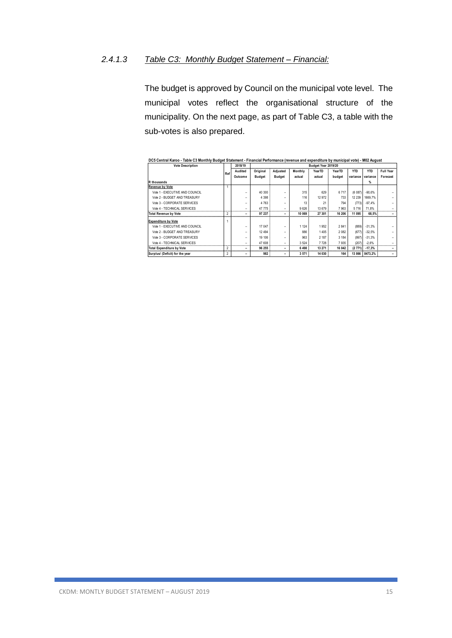#### *2.4.1.3 Table C3: Monthly Budget Statement – Financial:*

The budget is approved by Council on the municipal vote level. The municipal votes reflect the organisational structure of the municipality. On the next page, as part of Table C3, a table with the sub-votes is also prepared.

| <b>Vote Description</b>          |                | 2018/19 |               |               |         | Budget Year 2019/20 |         |            |            |                  |
|----------------------------------|----------------|---------|---------------|---------------|---------|---------------------|---------|------------|------------|------------------|
|                                  | Ref            | Audited | Original      | Adjusted      | Monthly | YearTD              | YearTD  | <b>YTD</b> | <b>YTD</b> | <b>Full Year</b> |
|                                  |                | Outcome | <b>Budget</b> | <b>Budget</b> | actual  | actual              | budget  | variance   | variance   | Forecast         |
| R thousands                      |                |         |               |               |         |                     |         |            | %          |                  |
| <b>Revenue by Vote</b>           |                |         |               |               |         |                     |         |            |            |                  |
| Vote 1 - EXECUTIVE AND COUNCIL   |                |         | 40 300        |               | 315     | 629                 | 6717    | (6087)     | $-90.6%$   |                  |
| Vote 2 - BUDGET AND TREASURY     |                | -       | 4 3 9 8       | -             | 116     | 12 972              | 733     | 12 239     | 1669.7%    |                  |
| Vote 3 - CORPORATE SERVICES      |                | -       | 4 7 6 3       | ۰             | 13      | 21                  | 794     | (773)      | $-97.4%$   |                  |
| Vote 4 - TECHNICAL SERVICES      |                |         | 47 775        | -             | 9626    | 13 679              | 7963    | 5716       | 71.8%      |                  |
| <b>Total Revenue by Vote</b>     | 2              |         | 97 237        |               | 10 069  | 27 301              | 16 20 6 | 11 095     | 68.5%      |                  |
| <b>Expenditure by Vote</b>       |                |         |               |               |         |                     |         |            |            |                  |
| Vote 1 - EXECUTIVE AND COUNCIL   |                | -       | 17 047        |               | 1 1 2 4 | 1952                | 2841    | (889)      | $-31.3%$   |                  |
| Vote 2 - BUDGET AND TREASURY     |                |         | 12 4 9 4      |               | 886     | 1 4 0 5             | 2082    | (677)      | $-32.5%$   |                  |
| Vote 3 - CORPORATE SERVICES      |                |         | 19 10 6       |               | 963     | 2 187               | 3 184   | (997)      | $-31.3%$   |                  |
| Vote 4 - TECHNICAL SERVICES      |                | -       | 47 608        | -             | 3 5 24  | 7728                | 7935    | (207)      | $-2.6%$    |                  |
| <b>Total Expenditure by Vote</b> | $\mathfrak{p}$ | -       | 96 255        | -             | 6 4 9 8 | 13 271              | 16 042  | (2771)     | $-17.3%$   |                  |
| Surplus/ (Deficit) for the year  | 2              |         | 982           | -             | 3 5 7 1 | 14 030              | 164     | 13866      | 8473.2%    |                  |

**DC5 Central Karoo - Table C3 Monthly Budget Statement - Financial Performance (revenue and expenditure by municipal vote) - M02 August**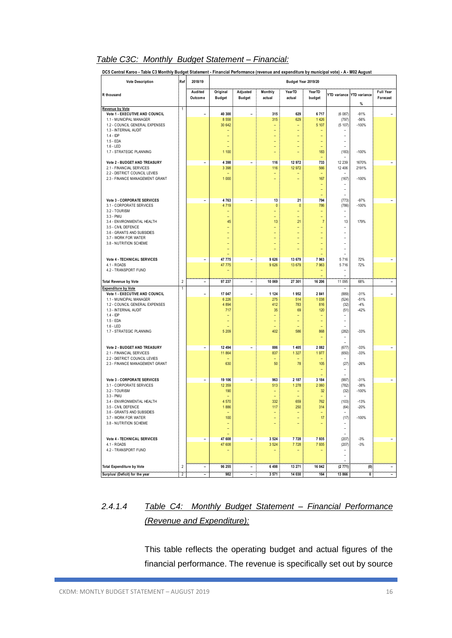#### *Table C3C: Monthly Budget Statement – Financial:*

| <b>Vote Description</b>                                         | :Ref           | 2018/19                  |                           |                           |                                 | Budget Year 2019/20            |                     |                                   |                                |                              |
|-----------------------------------------------------------------|----------------|--------------------------|---------------------------|---------------------------|---------------------------------|--------------------------------|---------------------|-----------------------------------|--------------------------------|------------------------------|
| R thousand                                                      |                | Audited<br>Outcome       | Original<br><b>Budget</b> | Adjusted<br><b>Budget</b> | Monthly<br>actual               | YearTD<br>actual               | YearTD<br>budget    |                                   | YTD variance YTD variance<br>% | <b>Full Year</b><br>Forecast |
| <b>Revenue by Vote</b>                                          | 1              |                          |                           |                           |                                 |                                |                     |                                   |                                |                              |
| Vote 1 - EXECUTIVE AND COUNCIL<br>1.1 - MUNICIPAL MANAGER       |                | $\qquad \qquad -$        | 40 300<br>8 5 5 8         | $\overline{\phantom{0}}$  | 315<br>315                      | 629<br>629                     | 6717<br>1 4 2 6     | (6087)<br>(797)                   | $-91%$<br>$-56%$               | $\overline{\phantom{a}}$     |
| 1.2 - COUNCIL GENERAL EXPENSES                                  |                |                          | 30 642                    |                           | $\overline{\phantom{0}}$        | ۰                              | 5 107               | (5 107)                           | $-100%$                        |                              |
| 1.3 - INTERNAL AUDIT                                            |                |                          |                           |                           | ÷,                              | $\overline{\phantom{a}}$       |                     |                                   |                                |                              |
| $1.4 -$ IDP<br>1.5 - EDA                                        |                |                          |                           |                           | L,<br>÷,                        | L,<br>$\overline{\phantom{a}}$ | ۳                   | ۰                                 |                                |                              |
| $1.6 - LED$                                                     |                |                          |                           |                           |                                 |                                |                     |                                   |                                |                              |
| 1.7 - STRATEGIC PLANNING                                        |                |                          | 1 100                     |                           | Ξ                               | $\overline{\phantom{0}}$       | 183                 | (183)                             | $-100%$                        |                              |
| Vote 2 - BUDGET AND TREASURY                                    |                | $\qquad \qquad -$        | 4 3 9 8                   | $\overline{\phantom{a}}$  | 116                             | 12 972                         | 733                 | 12 239                            | 1670%                          | $\overline{\phantom{a}}$     |
| 2.1 - FINANCIAL SERVICES                                        |                |                          | 3 3 9 8                   |                           | 116                             | 12 972                         | 566                 | 12 406                            | 2191%                          |                              |
| 2.2 - DISTRICT COUNCIL LEVIES<br>2.3 - FINANCE MANAGEMENT GRANT |                |                          | 1 0 0 0                   |                           | ÷<br>÷,                         | ÷                              | 167                 | $\overline{\phantom{a}}$<br>(167) | $-100%$                        |                              |
|                                                                 |                |                          |                           |                           |                                 |                                |                     |                                   |                                |                              |
|                                                                 |                |                          |                           |                           |                                 |                                | ÷,                  | $\overline{a}$                    |                                |                              |
|                                                                 |                |                          |                           |                           |                                 |                                | 794                 | $\overline{a}$                    |                                |                              |
| Vote 3 - CORPORATE SERVICES<br>3.1 - CORPORATE SERVICES         |                | $\overline{\phantom{a}}$ | 4763<br>4 7 1 9           | $\overline{\phantom{a}}$  | 13<br>$\mathbf{0}$              | 21<br>$\mathbf{0}$             | 786                 | (773)<br>(786)                    | $-97%$<br>$-100%$              | $\overline{\phantom{a}}$     |
| 3.2 - TOURISM                                                   |                |                          | ۳                         |                           | $\overline{\phantom{0}}$        | $\overline{\phantom{a}}$       | ۰                   |                                   |                                |                              |
| 3.3 - PMU                                                       |                |                          |                           |                           | Ξ                               | $\overline{\phantom{a}}$       | ÷                   | $\overline{a}$                    |                                |                              |
| 3.4 - ENVIRONMENTAL HEALTH<br>3.5 - CIVIL DEFENCE               |                |                          | 45                        |                           | 13<br>÷,                        | 21<br>$\overline{\phantom{a}}$ | $\overline{7}$<br>÷ | 13<br>$\overline{a}$              | 179%                           |                              |
| 3.6 - GRANTS AND SUBSIDIES                                      |                |                          |                           |                           | ÷,                              | $\overline{\phantom{0}}$       |                     |                                   |                                |                              |
| 3.7 - WORK FOR WATER                                            |                |                          |                           |                           | ÷,                              |                                |                     |                                   |                                |                              |
| 3.8 - NUTRITION SCHEME                                          |                |                          |                           |                           | ÷,                              |                                |                     | ÷                                 |                                |                              |
|                                                                 |                |                          |                           |                           |                                 |                                |                     | L,<br>$\overline{a}$              |                                |                              |
| Vote 4 - TECHNICAL SERVICES                                     |                | $\overline{\phantom{a}}$ | 47 775                    | $\overline{\phantom{a}}$  | 9626                            | 13 679                         | 7 9 6 3             | 5716                              | 72%                            | $\overline{\phantom{a}}$     |
| 4.1 - ROADS                                                     |                |                          | 47 775                    |                           | 9626                            | 13 679                         | 7 9 63              | 5716                              | 72%                            |                              |
| 4.2 - TRANSPORT FUND                                            |                |                          | ۰                         |                           |                                 |                                | ۰<br>÷              | $\overline{a}$                    |                                |                              |
| <b>Total Revenue by Vote</b>                                    | $\overline{2}$ | $\overline{\phantom{a}}$ | 97 237                    | $\overline{\phantom{a}}$  | 10 069                          | 27 301                         | 16 206              | 11 095                            | 68%                            | $\qquad \qquad -$            |
| <b>Expenditure by Vote</b>                                      | $\overline{1}$ |                          |                           |                           |                                 |                                |                     |                                   |                                |                              |
| Vote 1 - EXECUTIVE AND COUNCIL<br>1.1 - MUNICIPAL MANAGER       |                | $\qquad \qquad -$        | 17 047<br>6 2 2 6         | $\overline{a}$            | 1 1 2 4<br>275                  | 1952<br>514                    | 2 8 4 1<br>1 0 38   | (889)<br>(524)                    | $-31%$<br>$-51%$               | $\qquad \qquad -$            |
| 1.2 - COUNCIL GENERAL EXPENSES                                  |                |                          | 4 8 9 4                   |                           | 412                             | 783                            | 816                 | (32)                              | $-4%$                          |                              |
| 1.3 - INTERNAL AUDIT                                            |                |                          | 717                       |                           | 35                              | 69                             | 120                 | (51)                              | $-42%$                         |                              |
| $1.4 -$ IDP<br>1.5 - EDA                                        |                |                          |                           |                           | ÷<br>$\qquad \qquad -$          | $\equiv$                       | ÷,                  | ۰                                 |                                |                              |
| $1.6 - LED$                                                     |                |                          |                           |                           |                                 |                                |                     |                                   |                                |                              |
| 1.7 - STRATEGIC PLANNING                                        |                |                          | 5 2 0 9                   |                           | 402                             | 586                            | 868                 | (282)                             | $-33%$                         |                              |
|                                                                 |                |                          |                           |                           |                                 |                                |                     |                                   |                                |                              |
| Vote 2 - BUDGET AND TREASURY                                    |                | $\qquad \qquad -$        | 12 494                    | $\overline{\phantom{a}}$  | 886                             | 1 4 0 5                        | 2 0 8 2             | (677)                             | $-33%$                         | $\overline{\phantom{a}}$     |
| 2.1 - FINANCIAL SERVICES                                        |                |                          | 11 864                    |                           | 837                             | 1 3 2 7                        | 1977                | (650)                             | $-33%$                         |                              |
| 2.2 - DISTRICT COUNCIL LEVIES                                   |                |                          |                           |                           |                                 |                                |                     |                                   |                                |                              |
| 2.3 - FINANCE MANAGEMENT GRANT                                  |                |                          | 630                       |                           | 50                              | 78                             | 105                 | (27)                              | $-26%$                         |                              |
|                                                                 |                |                          |                           |                           |                                 |                                |                     |                                   |                                |                              |
| Vote 3 - CORPORATE SERVICES                                     |                | $\qquad \qquad -$        | 19 10 6                   | $\overline{\phantom{a}}$  | 963                             | 2 187                          | 3 1 8 4             | (997)                             | $-31%$                         | $\qquad \qquad -$            |
| 3.1 - CORPORATE SERVICES<br>3.2 - TOURISM                       |                |                          | 12 3 5 9<br>190           |                           | 513<br>$\overline{\phantom{0}}$ | 1 2 7 8                        | 2 0 6 0<br>32       | (782)<br>(32)                     | $-38%$<br>$-100%$              |                              |
| 3.3 - PMU                                                       |                |                          |                           |                           |                                 |                                |                     |                                   |                                |                              |
| 3.4 - ENVIRONMENTAL HEALTH                                      |                |                          | 4 5 7 0                   |                           | 332                             | 659                            | 762                 | (103)                             | $-13%$                         |                              |
| 3.5 - CIVIL DEFENCE<br>3.6 - GRANTS AND SUBSIDIES               |                |                          | 1886                      |                           | 117                             | 250                            | 314                 | (64)                              | $-20%$                         |                              |
| 3.7 - WORK FOR WATER                                            |                |                          | 100                       |                           | ÷,                              | ÷,                             | 17                  | (17)                              | $-100%$                        |                              |
| 3.8 - NUTRITION SCHEME                                          |                |                          | ۳                         |                           | ÷                               | $\equiv$                       | ۳                   | ۰                                 |                                |                              |
|                                                                 |                |                          |                           |                           |                                 |                                |                     | $\equiv$                          |                                |                              |
| Vote 4 - TECHNICAL SERVICES                                     |                | $\overline{\phantom{a}}$ | 47 608                    | $\qquad \qquad -$         | 3 5 24                          | 7728                           | 7935                | (207)                             | $-3%$                          | $\overline{\phantom{a}}$     |
| 4.1 - ROADS                                                     |                |                          | 47 608                    |                           | 3 5 24                          | 7728                           | 7935                | (207)                             | $-3%$                          |                              |
| 4.2 - TRANSPORT FUND                                            |                |                          |                           |                           | -                               |                                |                     | $\overline{a}$                    |                                |                              |
|                                                                 |                |                          |                           |                           |                                 |                                |                     | $\overline{a}$                    |                                |                              |
| <b>Total Expenditure by Vote</b>                                | $\overline{2}$ | $\qquad \qquad -$        | 96 255                    | $\qquad \qquad -$         | 6 4 9 8                         | 13 271                         | 16 042              | (2771)                            | (0)                            | $\overline{\phantom{a}}$     |
| Surplus/ (Deficit) for the year                                 | $\overline{2}$ | $\overline{\phantom{a}}$ | 982                       | $\overline{\phantom{a}}$  | 3 571                           | 14 030                         | 164                 | 13 866                            | $\overline{\mathfrak{o}}$      | $\overline{\phantom{a}}$     |

### *2.4.1.4 Table C4: Monthly Budget Statement – Financial Performance (Revenue and Expenditure):*

This table reflects the operating budget and actual figures of the financial performance. The revenue is specifically set out by source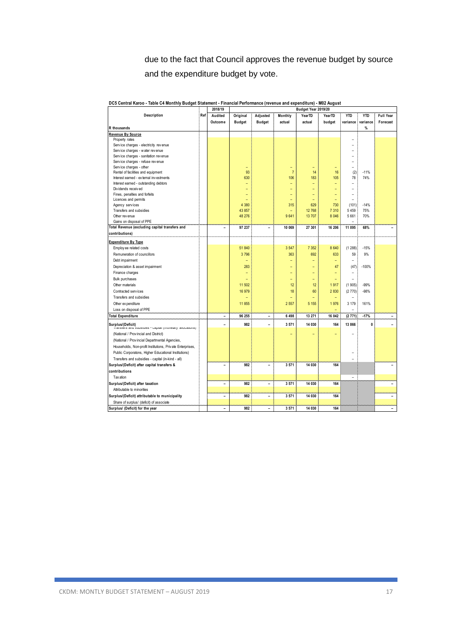due to the fact that Council approves the revenue budget by source and the expenditure budget by vote.

|                                                                                |     | 2018/19                      | Budget Year 2019/20      |                          |                          |                          |                          |                          |            |                          |
|--------------------------------------------------------------------------------|-----|------------------------------|--------------------------|--------------------------|--------------------------|--------------------------|--------------------------|--------------------------|------------|--------------------------|
| Description                                                                    | Ref | Audited                      | Original                 | Adjusted                 | Monthly                  | YearTD                   | YearTD                   | <b>YTD</b>               | <b>YTD</b> | <b>Full Year</b>         |
|                                                                                |     | Outcome                      | <b>Budget</b>            | <b>Budget</b>            | actual                   | actual                   | budget                   | variance                 | variance   | Forecast                 |
| R thousands                                                                    |     |                              |                          |                          |                          |                          |                          |                          | %          |                          |
| Revenue By Source                                                              |     |                              |                          |                          |                          |                          |                          |                          |            |                          |
| Property rates                                                                 |     |                              |                          |                          |                          |                          |                          |                          |            |                          |
| Service charges - electricity revenue                                          |     |                              |                          |                          |                          |                          |                          |                          |            |                          |
| Service charges - water revenue                                                |     |                              |                          |                          |                          |                          |                          |                          |            |                          |
| Service charges - sanitation revenue                                           |     |                              |                          |                          |                          |                          |                          |                          |            |                          |
| Service charges - refuse revenue                                               |     |                              |                          |                          |                          |                          |                          | $\overline{a}$           |            |                          |
| Service charges - other                                                        |     |                              | ۳                        |                          | $\overline{\phantom{0}}$ | $\overline{\phantom{0}}$ | ۳                        | ÷                        |            |                          |
| Rental of facilities and equipment                                             |     |                              | 93                       |                          | $\overline{7}$           | 14                       | 16                       | (2)                      | $-11%$     |                          |
| Interest earned - external investments                                         |     |                              | 630                      |                          | 106                      | 183                      | 105                      | 78                       | 74%        |                          |
| Interest earned - outstanding debtors                                          |     |                              | $\overline{\phantom{0}}$ |                          | ÷                        | $\overline{\phantom{a}}$ | $\overline{\phantom{a}}$ | $\overline{a}$           |            |                          |
| Dividends received                                                             |     |                              | -                        |                          | -                        |                          |                          |                          |            |                          |
| Fines, penalties and forfeits                                                  |     |                              |                          |                          |                          | ۳                        |                          | L                        |            |                          |
| Licences and permits                                                           |     |                              |                          |                          |                          | $\overline{\phantom{a}}$ | ۳                        | ۳                        |            |                          |
| Agency services                                                                |     |                              | 4 3 8 0                  |                          | 315                      | 629                      | 730                      | (101)                    | $-14%$     |                          |
| Transfers and subsidies                                                        |     |                              | 43 857                   |                          |                          | 12 768                   | 7 3 1 0                  | 5 4 5 9                  | 75%        |                          |
| Other revenue                                                                  |     |                              | 48 276                   |                          | 9641                     | 13 707                   | 8 0 46                   | 5 6 6 1                  | 70%        |                          |
| Gains on disposal of PPE                                                       |     |                              |                          |                          |                          |                          |                          |                          |            |                          |
| Total Revenue (excluding capital transfers and                                 |     | $\overline{a}$               | 97 237                   | ۰                        | 10 069                   | 27 301                   | 16 206                   | 11 095                   | 68%        |                          |
| contributions)                                                                 |     |                              |                          |                          |                          |                          |                          |                          |            |                          |
| <b>Expenditure By Type</b>                                                     |     |                              |                          |                          |                          |                          |                          |                          |            |                          |
| Employ ee related costs                                                        |     |                              | 51 840                   |                          | 3547                     | 7 3 5 2                  | 8 6 4 0                  | (1288)                   | $-15%$     |                          |
|                                                                                |     |                              | 3796                     |                          | 363                      | 692                      |                          |                          | 9%         |                          |
| Remuneration of councillors                                                    |     |                              |                          |                          |                          |                          | 633                      | 59                       |            |                          |
| Debt impairment                                                                |     |                              | ۰                        |                          | ۳                        | ۳                        |                          | -                        |            |                          |
| Depreciation & asset impairment                                                |     |                              | 283                      |                          | ÷                        | $\overline{\phantom{0}}$ | 47                       | (47)                     | $-100%$    |                          |
| Finance charges                                                                |     |                              | Ξ                        |                          | ۳                        | ۳                        |                          |                          |            |                          |
| Bulk purchases                                                                 |     |                              | $\overline{\phantom{0}}$ |                          | ÷                        | $\overline{\phantom{0}}$ | $\overline{\phantom{0}}$ | ÷                        |            |                          |
| Other materials                                                                |     |                              | 11 502                   |                          | 12                       | 12                       | 1917                     | (1905)                   | $-99%$     |                          |
| Contracted services                                                            |     |                              | 16 979                   |                          | 18                       | 60                       | 2 8 3 0                  | (2770)                   | $-98%$     |                          |
| Transfers and subsidies                                                        |     |                              |                          |                          | ۰                        | $\overline{\phantom{0}}$ |                          | $\overline{\phantom{a}}$ |            |                          |
| Other ex penditure                                                             |     |                              | 11 855                   |                          | 2 5 5 7                  | 5 1 5 5                  | 1976                     | 3 1 7 9                  | 161%       |                          |
| Loss on disposal of PPE                                                        |     |                              |                          |                          |                          |                          |                          | $\overline{a}$           |            |                          |
| <b>Total Expenditure</b>                                                       |     | $\overline{\phantom{0}}$     | 96 255                   | $\overline{\phantom{0}}$ | 6498                     | 13 271                   | 16 042                   | (2771)                   | $-17%$     | $\overline{\phantom{0}}$ |
|                                                                                |     |                              |                          |                          |                          |                          |                          |                          |            |                          |
| Surplus/(Deficit)<br>i ransiers and subsidies - capital (monetary allocations) |     | $\overline{\phantom{0}}$     | 982                      |                          | 3 5 7 1                  | 14 030                   | 164                      | 13 866                   | 0          |                          |
| (National / Provincial and District)                                           |     |                              |                          |                          |                          |                          |                          |                          |            |                          |
| (National / Provincial Departmental Agencies,                                  |     |                              |                          |                          |                          |                          |                          |                          |            |                          |
| Households, Non-profit Institutions, Private Enterprises,                      |     |                              |                          |                          |                          |                          |                          |                          |            |                          |
|                                                                                |     |                              |                          |                          |                          |                          |                          |                          |            |                          |
| Public Corporatons, Higher Educational Institutions)                           |     |                              |                          |                          |                          |                          |                          |                          |            |                          |
| Transfers and subsidies - capital (in-kind - all)                              |     |                              |                          |                          |                          |                          |                          |                          |            |                          |
| Surplus/(Deficit) after capital transfers &                                    |     | $\qquad \qquad \blacksquare$ | 982                      | $\overline{a}$           | 3 5 7 1                  | 14 030                   | 164                      |                          |            |                          |
| contributions                                                                  |     |                              |                          |                          |                          |                          |                          |                          |            |                          |
| Taxation                                                                       |     |                              |                          |                          |                          |                          |                          |                          |            |                          |
| Surplus/(Deficit) after taxation                                               |     | $\overline{\phantom{0}}$     | 982                      | ۰                        | 3 5 7 1                  | 14 030                   | 164                      |                          |            | $\overline{\phantom{a}}$ |
| Attributable to minorities                                                     |     |                              |                          |                          |                          |                          |                          |                          |            |                          |
| Surplus/(Deficit) attributable to municipality                                 |     | $\overline{\phantom{0}}$     | 982                      | ۰                        | 3 5 7 1                  | 14 030                   | 164                      |                          |            | $\overline{\phantom{a}}$ |
| Share of surplus/ (deficit) of associate                                       |     |                              |                          |                          |                          |                          |                          |                          |            |                          |
| Surplus/ (Deficit) for the year                                                |     | $\overline{\phantom{a}}$     | 982                      | $\overline{\phantom{a}}$ | 3571                     | 14 030                   | 164                      |                          |            | $\overline{\phantom{a}}$ |

**DC5 Central Karoo - Table C4 Monthly Budget Statement - Financial Performance (revenue and expenditure) - M02 August**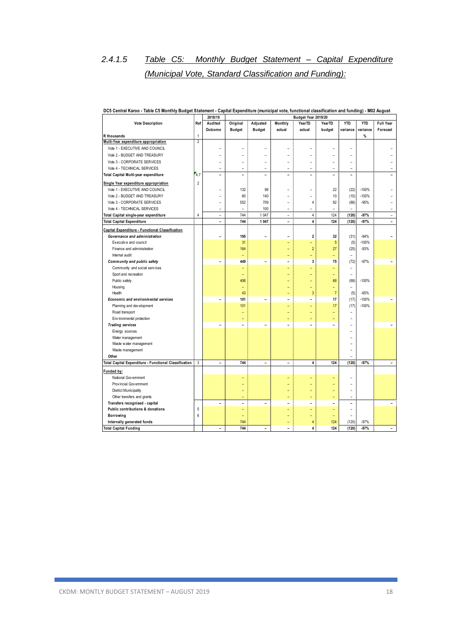### *2.4.1.5 Table C5: Monthly Budget Statement – Capital Expenditure (Municipal Vote, Standard Classification and Funding):*

| <b>Vote Description</b><br>Adjusted<br><b>YTD</b><br><b>YTD</b><br>Ref<br>Audited<br>Original<br>Monthly<br>Year <sub>TD</sub><br>YearTD                                                      | Full Year                |
|-----------------------------------------------------------------------------------------------------------------------------------------------------------------------------------------------|--------------------------|
| <b>Budget</b><br><b>Budget</b><br>Outcome<br>actual<br>actual<br>budget<br>variance<br>variance                                                                                               | Forecast                 |
| $\mathbf{1}$<br>$\frac{9}{6}$<br>R thousands                                                                                                                                                  |                          |
| Multi-Year expenditure appropriation<br>2                                                                                                                                                     |                          |
| Vote 1 - EXECUTIVE AND COUNCIL                                                                                                                                                                |                          |
| Vote 2 - BUDGET AND TREASURY                                                                                                                                                                  |                          |
| Vote 3 - CORPORATE SERVICES<br>$\overline{a}$<br>$\overline{a}$<br>L,                                                                                                                         |                          |
| Vote 4 - TECHNICAL SERVICES<br>$\overline{\phantom{a}}$<br>$\overline{\phantom{a}}$<br>$\overline{\phantom{a}}$<br>$\overline{a}$<br>$\overline{a}$<br>$\overline{a}$<br>$\overline{a}$       |                          |
| 4,7<br>Total Capital Multi-year expenditure<br>$\overline{a}$<br>۰<br>۳<br>۳<br>$\overline{\phantom{a}}$<br>۰<br>۰                                                                            |                          |
| Single Year expenditure appropriation<br>$\overline{2}$                                                                                                                                       |                          |
| Vote 1 - EXECUTIVE AND COUNCIL<br>132<br>98<br>22<br>(22)<br>$-100%$<br>۳<br>$\overline{\phantom{0}}$                                                                                         |                          |
| 60<br>$-100%$<br>Vote 2 - BUDGET AND TREASURY<br>140<br>10<br>(10)<br>$\overline{a}$<br>۰<br>$\overline{\phantom{a}}$                                                                         |                          |
| Vote 3 - CORPORATE SERVICES<br>552<br>709<br>92<br>$-95%$<br>$\overline{4}$<br>(88)<br>$\overline{a}$<br>$\overline{a}$                                                                       |                          |
| Vote 4 - TECHNICAL SERVICES<br>100<br>$\overline{\phantom{a}}$<br>$\overline{a}$<br>$\overline{a}$<br>$\overline{a}$<br>$\overline{a}$<br>$\overline{a}$                                      | $\overline{a}$           |
| 1 0 4 7<br>$\overline{4}$<br>124<br>(120)<br>$\overline{4}$<br>744<br>$-97%$<br>Total Capital single-year expenditure<br>$\overline{a}$<br>$\overline{\phantom{a}}$                           | $\overline{a}$           |
| 744<br>1 0 4 7<br>$\overline{\mathbf{4}}$<br>124<br>(120)<br>$-97%$<br><b>Total Capital Expenditure</b><br>$\sim$<br>٠                                                                        | $\overline{\phantom{0}}$ |
| Capital Expenditure - Functional Classification                                                                                                                                               |                          |
| Governance and administration<br>195<br>$\overline{2}$<br>(31)<br>$-94%$<br>32<br>۳<br>۳                                                                                                      |                          |
| Executive and council<br>31<br>5<br>$-100%$<br>(5)<br>÷                                                                                                                                       |                          |
| $\overline{c}$<br>27<br>Finance and administration<br>164<br>(25)<br>$-93%$                                                                                                                   |                          |
| Internal audit<br>L<br>Ξ<br>$\overline{a}$                                                                                                                                                    |                          |
| 449<br>3<br>75<br>$-97%$<br>Community and public safety<br>(72)<br>$\overline{a}$<br>۰<br>$\overline{\phantom{a}}$                                                                            | ۳                        |
| Community and social services<br>$\overline{a}$                                                                                                                                               |                          |
| Sport and recreation<br>$\overline{a}$                                                                                                                                                        |                          |
| 406<br>$-100%$<br>Public safety<br>68<br>(68)<br>۳                                                                                                                                            |                          |
| Housing<br>$\overline{a}$<br>$\overline{\phantom{0}}$<br>$\overline{\phantom{a}}$<br>$\overline{\phantom{a}}$                                                                                 |                          |
| $\overline{7}$<br>43<br>3<br>$-65%$<br>Health<br>(5)                                                                                                                                          |                          |
| 101<br>17<br>$-100%$<br>(17)<br>Economic and environmental services<br>$\overline{\phantom{a}}$<br>$\overline{\phantom{a}}$<br>$\overline{a}$                                                 |                          |
| 101<br>17<br>(17)<br>$-100%$<br>Planning and dev elopment<br>÷<br>$\overline{\phantom{a}}$                                                                                                    |                          |
| Road transport<br>$\overline{\phantom{a}}$<br>$\overline{a}$                                                                                                                                  |                          |
| Env ironmental protection                                                                                                                                                                     |                          |
| <b>Trading services</b><br>$\overline{\phantom{a}}$<br>$\overline{\phantom{a}}$<br>٠<br>$\overline{\phantom{0}}$<br>$\overline{\phantom{a}}$<br>÷                                             |                          |
| Energy sources<br>۳                                                                                                                                                                           |                          |
| Water management                                                                                                                                                                              |                          |
| Waste water management                                                                                                                                                                        |                          |
| Waste management<br>۳                                                                                                                                                                         |                          |
| Other<br>$\overline{a}$                                                                                                                                                                       |                          |
| $\sqrt{3}$<br>(120)<br>$-97%$<br>Total Capital Expenditure - Functional Classification<br>744<br>4<br>124<br>$\overline{\phantom{a}}$<br>$\overline{\phantom{a}}$<br>$\overline{\phantom{a}}$ | $\overline{\phantom{a}}$ |
| Funded by:                                                                                                                                                                                    |                          |
| National Gov emment                                                                                                                                                                           |                          |
| Prov incial Government<br>۰                                                                                                                                                                   |                          |
| District Municipality<br>$\overline{a}$                                                                                                                                                       |                          |
| Other transfers and grants<br>$\overline{a}$                                                                                                                                                  |                          |
| Transfers recognised - capital<br>$\overline{\phantom{a}}$<br>$\overline{\phantom{a}}$<br>$\overline{a}$<br>$\overline{a}$<br>۳<br>۰<br>$\overline{\phantom{0}}$                              |                          |
| $\sqrt{5}$<br>Public contributions & donations<br>$\overline{a}$<br>÷<br>۰                                                                                                                    |                          |
| $6\phantom{1}$<br>Borrowing<br>$\overline{a}$                                                                                                                                                 |                          |
| 744<br>124<br>(120)<br>$-97%$<br>Internally generated funds<br>4                                                                                                                              |                          |
| 744<br>(120)<br>$-97%$<br><b>Total Capital Funding</b><br>124<br>4<br>$\overline{\phantom{0}}$<br>٠                                                                                           | $\overline{\phantom{0}}$ |

#### **DC5 Central Karoo - Table C5 Monthly Budget Statement - Capital Expenditure (municipal vote, functional classification and funding) - M02 August**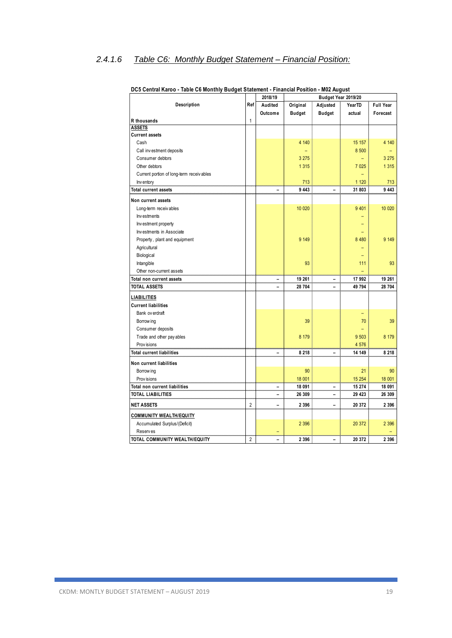### *2.4.1.6 Table C6: Monthly Budget Statement – Financial Position:*

|                                          |                | 2018/19 | Budget Year 2019/20 |                          |         |                  |  |
|------------------------------------------|----------------|---------|---------------------|--------------------------|---------|------------------|--|
| Description                              | Ref            | Audited | Original            | Adjusted                 | YearTD  | <b>Full Year</b> |  |
|                                          |                | Outcome | <b>Budget</b>       | <b>Budget</b>            | actual  | Forecast         |  |
| R thousands                              | $\mathbf{1}$   |         |                     |                          |         |                  |  |
| <b>ASSETS</b>                            |                |         |                     |                          |         |                  |  |
| <b>Current assets</b>                    |                |         |                     |                          |         |                  |  |
| Cash                                     |                |         | 4 140               |                          | 15 157  | 4 140            |  |
| Call investment deposits                 |                |         |                     |                          | 8 500   |                  |  |
| Consumer debtors                         |                |         | 3 2 7 5             |                          |         | 3 2 7 5          |  |
| Other debtors                            |                |         | 1 3 1 5             |                          | 7 0 25  | 1 3 1 5          |  |
| Current portion of long-term receivables |                |         |                     |                          |         |                  |  |
| Inventory                                |                |         | 713                 |                          | 1 1 2 0 | 713              |  |
| <b>Total current assets</b>              |                | -       | 9 4 4 3             | -                        | 31 803  | 9 4 4 3          |  |
| Non current assets                       |                |         |                     |                          |         |                  |  |
| Long-term receivables                    |                |         | 10 0 20             |                          | 9 4 0 1 | 10 020           |  |
| Investments                              |                |         |                     |                          |         |                  |  |
| Investment property                      |                |         |                     |                          |         |                  |  |
| Investments in Associate                 |                |         |                     |                          |         |                  |  |
| Property, plant and equipment            |                |         | 9 1 4 9             |                          | 8 4 8 0 | 9 1 4 9          |  |
| Agricultural                             |                |         |                     |                          |         |                  |  |
| Biological                               |                |         |                     |                          |         |                  |  |
| Intangible                               |                |         | 93                  |                          | 111     | 93               |  |
| Other non-current assets                 |                |         |                     |                          |         |                  |  |
| Total non current assets                 |                | -       | 19 261              | $\overline{\phantom{0}}$ | 17 992  | 19 261           |  |
| <b>TOTAL ASSETS</b>                      |                |         | 28 704              |                          | 49 794  | 28 704           |  |
| LIABILITIES                              |                |         |                     |                          |         |                  |  |
| <b>Current liabilities</b>               |                |         |                     |                          |         |                  |  |
| Bank overdraft                           |                |         |                     |                          |         |                  |  |
| Borrow ing                               |                |         | 39                  |                          | 70      | 39               |  |
| Consumer deposits                        |                |         |                     |                          |         |                  |  |
| Trade and other pay ables                |                |         | 8 1 7 9             |                          | 9503    | 8 179            |  |
| Prov isions                              |                |         |                     |                          | 4 5 7 6 |                  |  |
| <b>Total current liabilities</b>         |                |         | 8 2 1 8             |                          | 14 149  | 8 2 1 8          |  |
| Non current liabilities                  |                |         |                     |                          |         |                  |  |
| Borrow ing                               |                |         | 90                  |                          | 21      | 90               |  |
| Prov isions                              |                |         | 18 001              |                          | 15 254  | 18 001           |  |
| Total non current liabilities            |                | -       | 18 091              | -                        | 15 274  | 18 091           |  |
| TOTAL LIABILITIES                        |                |         | 26 309              |                          | 29 4 23 | 26 309           |  |
|                                          |                |         |                     |                          |         |                  |  |
| <b>NET ASSETS</b>                        | 2              | -       | 2 3 9 6             | ۰                        | 20 372  | 2 3 9 6          |  |
| <b>COMMUNITY WEALTH/EQUITY</b>           |                |         |                     |                          |         |                  |  |
| Accumulated Surplus/(Deficit)            |                |         | 2 3 9 6             |                          | 20 372  | 2 3 9 6          |  |
| <b>Reserves</b>                          |                |         |                     |                          |         |                  |  |
| TOTAL COMMUNITY WEALTH/EQUITY            | $\overline{2}$ |         | 2 3 9 6             |                          | 20 372  | 2 3 9 6          |  |

**DC5 Central Karoo - Table C6 Monthly Budget Statement - Financial Position - M02 August**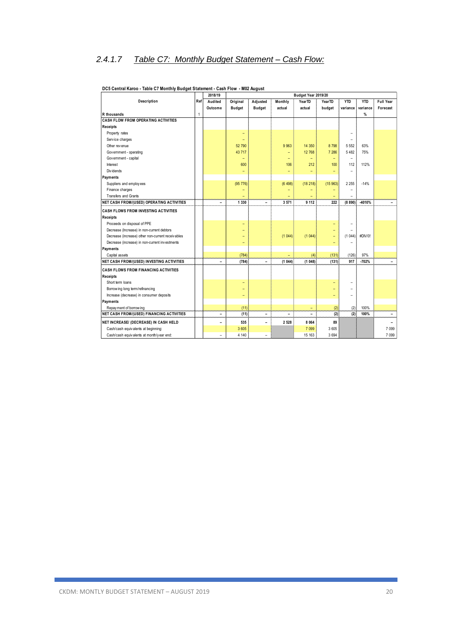### *2.4.1.7 Table C7: Monthly Budget Statement – Cash Flow:*

|                                                   |     | 2018/19                  |                          |                          |                          | Budget Year 2019/20      |                          |                |            |                          |
|---------------------------------------------------|-----|--------------------------|--------------------------|--------------------------|--------------------------|--------------------------|--------------------------|----------------|------------|--------------------------|
| Description                                       | Ref | Audited                  | Original                 | Adjusted                 | Monthly                  | YearTD                   | YearTD                   | <b>YTD</b>     | <b>YTD</b> | Full Year                |
|                                                   |     | Outcome                  | <b>Budget</b>            | <b>Budget</b>            | actual                   | actual                   | budget                   | variance       | variance   | Forecast                 |
| R thousands                                       | 1   |                          |                          |                          |                          |                          |                          |                | $\%$       |                          |
| CASH FLOW FROM OPERATING ACTIVITIES               |     |                          |                          |                          |                          |                          |                          |                |            |                          |
| Receipts                                          |     |                          |                          |                          |                          |                          |                          |                |            |                          |
| Property rates                                    |     |                          | $\overline{\phantom{0}}$ |                          |                          |                          |                          |                |            |                          |
| Service charges                                   |     |                          | $\overline{\phantom{0}}$ |                          |                          |                          |                          | $\overline{a}$ |            |                          |
| Other revenue                                     |     |                          | 52 790                   |                          | 9 9 63                   | 14 350                   | 8798                     | 5 5 5 2        | 63%        |                          |
| Government - operating                            |     |                          | 43 717                   |                          | ÷,                       | 12 768                   | 7 28 6                   | 5 4 8 2        | 75%        |                          |
| Government - capital                              |     |                          | $\overline{\phantom{0}}$ |                          | $\overline{\phantom{a}}$ | $\equiv$                 | $\overline{\phantom{0}}$ | $\overline{a}$ |            |                          |
| Interest                                          |     |                          | 600                      |                          | 106                      | 212                      | 100                      | 112            | 112%       |                          |
| Div idends                                        |     |                          | -                        |                          | $\overline{\phantom{a}}$ | $\overline{\phantom{a}}$ | $\overline{\phantom{0}}$ | $\overline{a}$ |            |                          |
| Payments                                          |     |                          |                          |                          |                          |                          |                          |                |            |                          |
| Suppliers and employees                           |     |                          | (95 776)                 |                          | (6498)                   | (18218)                  | (15963)                  | 2 2 5 5        | $-14%$     |                          |
| Finance charges                                   |     |                          |                          |                          |                          |                          |                          |                |            |                          |
| Transfers and Grants                              |     |                          |                          |                          |                          |                          |                          |                |            |                          |
| NET CASH FROM/(USED) OPERATING ACTIVITIES         |     | $\overline{\phantom{0}}$ | 1 3 3 0                  | $\overline{\phantom{0}}$ | 3571                     | 9 1 1 2                  | 222                      | (8890)         | -4010%     |                          |
| <b>CASH FLOWS FROM INVESTING ACTIVITIES</b>       |     |                          |                          |                          |                          |                          |                          |                |            |                          |
| Receipts                                          |     |                          |                          |                          |                          |                          |                          |                |            |                          |
| Proceeds on disposal of PPE                       |     |                          | $\overline{\phantom{0}}$ |                          |                          |                          |                          |                |            |                          |
| Decrease (Increase) in non-current debtors        |     |                          |                          |                          |                          |                          |                          |                |            |                          |
| Decrease (increase) other non-current receivables |     |                          |                          |                          | (1044)                   | (1044)                   | ÷                        | (1044)         | #DIV/0!    |                          |
| Decrease (increase) in non-current investments    |     |                          | -                        |                          |                          |                          | -                        |                |            |                          |
| Payments                                          |     |                          |                          |                          |                          |                          |                          |                |            |                          |
| Capital assets                                    |     |                          | (784)                    |                          |                          | (4)                      | (131)                    | (126)          | 97%        |                          |
| <b>NET CASH FROM/(USED) INVESTING ACTIVITIES</b>  |     | $\overline{\phantom{0}}$ | (784)                    | $\overline{\phantom{a}}$ | (1044)                   | (1048)                   | (131)                    | 917            | $-702%$    | $\overline{\phantom{a}}$ |
| <b>CASH FLOWS FROM FINANCING ACTIVITIES</b>       |     |                          |                          |                          |                          |                          |                          |                |            |                          |
| Receipts                                          |     |                          |                          |                          |                          |                          |                          |                |            |                          |
| Short term loans                                  |     |                          | -                        |                          |                          |                          |                          |                |            |                          |
| Borrow ing long term/refinancing                  |     |                          |                          |                          |                          |                          |                          |                |            |                          |
| Increase (decrease) in consumer deposits          |     |                          | $\overline{\phantom{0}}$ |                          |                          |                          |                          |                |            |                          |
| Payments                                          |     |                          |                          |                          |                          |                          |                          |                |            |                          |
| Repay ment of borrowing                           |     |                          | (11)                     |                          |                          | $\equiv$                 | (2)                      | (2)            | 100%       |                          |
| NET CASH FROM/(USED) FINANCING ACTIVITIES         |     | ۳                        | (11)                     | $\overline{\phantom{0}}$ | ۰                        |                          | (2)                      | (2)            | 100%       | $\overline{\phantom{a}}$ |
| NET INCREASE/ (DECREASE) IN CASH HELD             |     | -                        | 535                      | $\overline{a}$           | 2 5 2 8                  | 8 0 64                   | 89                       |                |            |                          |
| Cash/cash equivalents at beginning:               |     |                          | 3 605                    |                          |                          | 7 0 9 9                  | 3 605                    |                |            | 7 0 9 9                  |
| Cash/cash equivalents at month/y ear end:         |     | $\overline{\phantom{0}}$ | 4 140                    | $\overline{a}$           |                          | 15 163                   | 3694                     |                |            | 7 0 9 9                  |
|                                                   |     |                          |                          |                          |                          |                          |                          |                |            |                          |

#### **DC5 Central Karoo - Table C7 Monthly Budget Statement - Cash Flow - M02 August**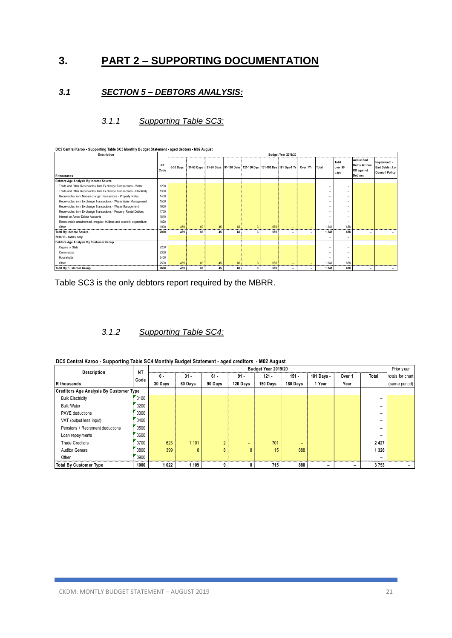### **3. PART 2 – SUPPORTING DOCUMENTATION**

#### *3.1 SECTION 5 – DEBTORS ANALYSIS:*

#### *3.1.1 Supporting Table SC3:*

| DC5 Central Karoo - Supporting Table SC3 Monthly Budget Statement - aged debtors - M02 August |                   |           |                     |    |    |                |     |                                                                                  |                          |                          |                          |                                                                            |                                                          |
|-----------------------------------------------------------------------------------------------|-------------------|-----------|---------------------|----|----|----------------|-----|----------------------------------------------------------------------------------|--------------------------|--------------------------|--------------------------|----------------------------------------------------------------------------|----------------------------------------------------------|
| Description                                                                                   |                   |           | Budget Year 2019/20 |    |    |                |     |                                                                                  |                          |                          |                          |                                                                            |                                                          |
| R thousands                                                                                   | <b>NT</b><br>Code | 0-30 Days |                     |    |    |                |     | 31-60 Days   61-90 Days   91-120 Days   121-150 Dys   151-180 Dys   181 Dys-1 Yr | Over 1Yr                 | Total                    | Total<br>over 90<br>days | <b>Actual Bad</b><br><b>Debts Written</b><br>Off against<br><b>Debtors</b> | Impairment -<br>Bad Debts i.t.o<br><b>Council Policy</b> |
| Debtors Age Analysis By Income Source                                                         |                   |           |                     |    |    |                |     |                                                                                  |                          |                          |                          |                                                                            |                                                          |
| Trade and Other Receivables from Exchange Transactions - Water                                | 1200              |           |                     |    |    |                |     |                                                                                  |                          | $\overline{\phantom{a}}$ |                          |                                                                            |                                                          |
| Trade and Other Receivables from Exchange Transactions - Electricity                          | 1300              |           |                     |    |    |                |     |                                                                                  |                          | $\overline{\phantom{a}}$ | ۰                        |                                                                            |                                                          |
| Receivables from Non-exchange Transactions - Property Rates                                   | 1400              |           |                     |    |    |                |     |                                                                                  |                          | $\overline{\phantom{a}}$ | ۰                        |                                                                            |                                                          |
| Receivables from Exchange Transactions - Waste Water Management                               | 1500              |           |                     |    |    |                |     |                                                                                  |                          | $\overline{\phantom{a}}$ |                          |                                                                            |                                                          |
| Receivables from Exchange Transactions - Waste Management                                     | 1600              |           |                     |    |    |                |     |                                                                                  |                          | $\overline{\phantom{a}}$ | ۰                        |                                                                            |                                                          |
| Receivables from Exchange Transactions - Property Rental Debtors                              | 1700              |           |                     |    |    |                |     |                                                                                  |                          |                          |                          |                                                                            |                                                          |
| Interest on Arrear Debtor Accounts                                                            | 1810              |           |                     |    |    |                |     |                                                                                  |                          |                          |                          |                                                                            |                                                          |
| Recoverable unauthorised, irregular, fruitless and wasteful expenditure                       | 1820              |           |                     |    |    |                |     |                                                                                  |                          |                          | $\overline{\phantom{a}}$ |                                                                            |                                                          |
| Other                                                                                         | 1900              | 469       | 69                  | 45 | 66 |                | 589 | ۰.                                                                               | $\overline{\phantom{a}}$ | 1 2 4 1                  | 658                      |                                                                            |                                                          |
| <b>Total By Income Source</b>                                                                 | 2000              | 469       | 69                  | 45 | 66 | $\overline{3}$ | 589 | ٠                                                                                | $\overline{\phantom{a}}$ | 1 2 4 1                  | 658                      | -                                                                          |                                                          |
| 2018/19 - totals only                                                                         |                   |           |                     |    |    |                |     |                                                                                  |                          |                          | $\overline{\phantom{a}}$ |                                                                            |                                                          |
| Debtors Age Analysis By Customer Group                                                        |                   |           |                     |    |    |                |     |                                                                                  |                          |                          |                          |                                                                            |                                                          |
| Organs of State                                                                               | 2200              |           |                     |    |    |                |     |                                                                                  |                          | $\overline{\phantom{a}}$ |                          |                                                                            |                                                          |
| Commercial                                                                                    | 2300              |           |                     |    |    |                |     |                                                                                  |                          |                          |                          |                                                                            |                                                          |
| Households                                                                                    | 2400              |           |                     |    |    |                |     |                                                                                  |                          |                          | $\overline{\phantom{a}}$ |                                                                            |                                                          |
| Other                                                                                         | 2500              | 469       | 69                  | 45 | 66 | 3              | 589 | -                                                                                | $\overline{\phantom{a}}$ | 1 2 4 1                  | 658                      |                                                                            |                                                          |
| <b>Total By Customer Group</b>                                                                | 2600              | 469       | 69                  | 45 | 66 | $\mathbf{3}$   | 589 | ۰                                                                                | $\overline{\phantom{a}}$ | 1 2 4 1                  | 658                      | -                                                                          | $\overline{\phantom{a}}$                                 |

Table SC3 is the only debtors report required by the MBRR.

#### *3.1.2 Supporting Table SC4:*

| DC5 Central Karoo - Supporting Table SC4 Monthly Budget Statement - aged creditors - M02 August |  |  |  |  |
|-------------------------------------------------------------------------------------------------|--|--|--|--|
|-------------------------------------------------------------------------------------------------|--|--|--|--|

| DC5 Central Karoo - Supporting Table SC4 Monthly Budget Statement - aged creditors - M02 August |           |         |                     |                |          |          |          |            |                          |                          |                  |  |  |  |  |
|-------------------------------------------------------------------------------------------------|-----------|---------|---------------------|----------------|----------|----------|----------|------------|--------------------------|--------------------------|------------------|--|--|--|--|
| Description                                                                                     | <b>NT</b> |         | Budget Year 2019/20 |                |          |          |          |            |                          |                          |                  |  |  |  |  |
|                                                                                                 | Code      | 0 -     | $31 -$              | $61 -$         | $91 -$   | $121 -$  | $151 -$  | 181 Days - | Over 1                   | Total                    | totals for chart |  |  |  |  |
| R thousands                                                                                     |           | 30 Days | 60 Days             | 90 Days        | 120 Days | 150 Days | 180 Days | 1 Year     | Year                     |                          | (same period)    |  |  |  |  |
| <b>Creditors Age Analysis By Customer Type</b>                                                  |           |         |                     |                |          |          |          |            |                          |                          |                  |  |  |  |  |
| <b>Bulk Electricity</b>                                                                         | 0100      |         |                     |                |          |          |          |            |                          | $\overline{\phantom{0}}$ |                  |  |  |  |  |
| <b>Bulk Water</b>                                                                               | 0200      |         |                     |                |          |          |          |            |                          | -                        |                  |  |  |  |  |
| <b>PAYE</b> deductions                                                                          | 0300      |         |                     |                |          |          |          |            |                          | -                        |                  |  |  |  |  |
| VAT (output less input)                                                                         | 0400      |         |                     |                |          |          |          |            |                          |                          |                  |  |  |  |  |
| Pensions / Retirement deductions                                                                | 0500      |         |                     |                |          |          |          |            |                          |                          |                  |  |  |  |  |
| Loan repay ments                                                                                | 0600      |         |                     |                |          |          |          |            |                          | -                        |                  |  |  |  |  |
| <b>Trade Creditors</b>                                                                          | 0700      | 623     | 1 1 0 1             | $\overline{2}$ | $-$      | 701      | $-$      |            |                          | 2 4 2 7                  |                  |  |  |  |  |
| <b>Auditor General</b>                                                                          | 0800      | 399     | 8                   | 8              | 8        | 15       | 888      |            |                          | 1 3 2 6                  |                  |  |  |  |  |
| Other                                                                                           | 0900      |         |                     |                |          |          |          |            |                          |                          |                  |  |  |  |  |
| <b>Total By Customer Type</b>                                                                   | 1000      | 1022    | 1 109               | 9              |          | 715      | 888      |            | $\overline{\phantom{0}}$ | 3753                     |                  |  |  |  |  |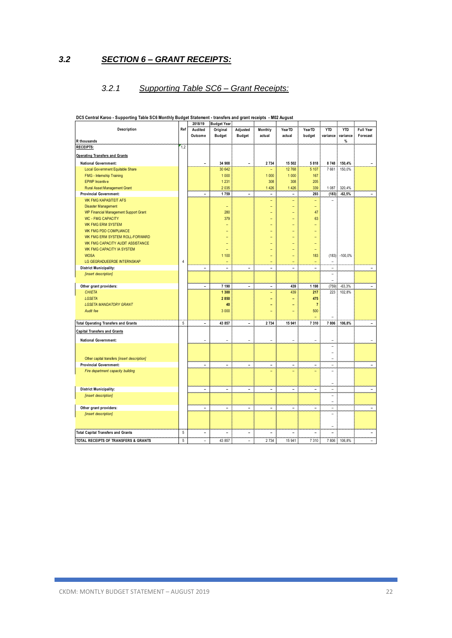*3.2 SECTION 6 – GRANT RECEIPTS:*

#### *3.2.1 Supporting Table SC6 – Grant Receipts:*

|                                                       |                | 2018/19                  | <b>Budget Year</b>       |                          |                          |                          |                          |                          |            |                          |
|-------------------------------------------------------|----------------|--------------------------|--------------------------|--------------------------|--------------------------|--------------------------|--------------------------|--------------------------|------------|--------------------------|
| <b>Description</b>                                    | Ref            | Audited                  | Original                 | Adjusted                 | Monthly                  | YearTD                   | YearTD                   | <b>YTD</b>               | <b>YTD</b> | Full Year                |
|                                                       |                | Outcome                  | <b>Budget</b>            | <b>Budget</b>            | actual                   | actual                   | budget                   | variance                 | variance   | Forecast                 |
| R thousands                                           |                |                          |                          |                          |                          |                          |                          |                          | %          |                          |
| <b>RECEIPTS:</b>                                      | 1,2            |                          |                          |                          |                          |                          |                          |                          |            |                          |
| <b>Operating Transfers and Grants</b>                 |                |                          |                          |                          |                          |                          |                          |                          |            |                          |
| <b>National Government:</b>                           |                | $\overline{\phantom{a}}$ | 34 908                   | $\overline{\phantom{a}}$ | 2 7 3 4                  | 15 502                   | 5818                     | 8748                     | 150,4%     |                          |
| Local Gov ernment Equitable Share                     |                |                          | 30 642                   |                          |                          | 12 768                   | 5 107                    | 7661                     | 150,0%     |                          |
| <b>FMG</b> - Internship Training                      |                |                          | 1 0 0 0                  |                          | 1 0 0 0                  | 1 000                    | 167                      |                          |            |                          |
| EPWP Incentive                                        |                |                          | 1 2 3 1                  |                          | 308                      | 308                      | 205                      |                          |            |                          |
| Rural Asset Management Grant                          |                |                          | 2035                     |                          | 1 4 2 6                  | 1 4 2 6                  | 339                      | 1 0 8 7                  | 320,4%     |                          |
| <b>Provincial Government:</b>                         |                | $\overline{a}$           | 1759                     | $\overline{a}$           | $\overline{a}$           | $\overline{a}$           | 293                      | (183)                    | $-62,5%$   | $\overline{a}$           |
| WK FMG KAPASITEIT AFS                                 |                |                          |                          |                          | ۳                        | $\overline{\phantom{0}}$ | $\overline{\phantom{a}}$ |                          |            |                          |
| <b>Disaster Management</b>                            |                |                          | $\equiv$                 |                          | ۰                        | Ξ                        | $\equiv$                 |                          |            |                          |
| <b>WP Financial Management Support Grant</b>          |                |                          | 280                      |                          |                          | ۳                        | 47                       |                          |            |                          |
| <b>WC - FMG CAPACITY</b>                              |                |                          | 379                      |                          | ۳                        | $\overline{\phantom{0}}$ | 63                       |                          |            |                          |
| <b>WK FMG ERM SYSTEM</b>                              |                |                          |                          |                          |                          | $\overline{\phantom{0}}$ |                          |                          |            |                          |
| WK FMG PDO COMPLIANCE                                 |                |                          |                          |                          |                          |                          |                          |                          |            |                          |
| WK FMG ERM SYSTEM ROLL-FORWARD                        |                |                          |                          |                          |                          |                          |                          |                          |            |                          |
| WK FMG CAPACITY AUDIT ASSISTANCE                      |                |                          |                          |                          |                          |                          | L,                       |                          |            |                          |
| WK FMG CAPACITY IA SYSTEM                             |                |                          |                          |                          |                          |                          | ۳                        |                          |            |                          |
| <b>WOSA</b>                                           |                |                          | 1 100                    |                          |                          | ÷,                       | 183                      | (183)                    | $-100,0%$  |                          |
| LG GEGRADUEERDE INTERNSKAP                            | $\overline{4}$ |                          | $\overline{\phantom{0}}$ |                          | ۰                        | ÷                        | $\overline{\phantom{0}}$ | $\overline{\phantom{a}}$ |            |                          |
|                                                       |                | $\overline{\phantom{a}}$ | $\overline{\phantom{a}}$ | $\overline{a}$           | $\overline{a}$           | $\overline{a}$           | $\overline{a}$           | $\overline{a}$           |            | $\overline{\phantom{a}}$ |
| <b>District Municipality:</b><br>[insert description] |                |                          |                          |                          |                          |                          |                          | $\overline{a}$           |            |                          |
|                                                       |                |                          |                          |                          |                          |                          |                          | ÷                        |            |                          |
| Other grant providers:                                |                | $\overline{\phantom{0}}$ | 7 190                    | $\overline{a}$           | $\overline{\phantom{0}}$ | 439                      | 1 1 9 8                  | (759)                    | $-63,3%$   | $\overline{\phantom{0}}$ |
| <b>CHIETA</b>                                         |                |                          | 1 300                    |                          | ۳                        | 439                      | 217                      | 223                      | 102,8%     |                          |
| <b>LGSETA</b>                                         |                |                          | 2850                     |                          | ٠                        | ۳                        | 475                      |                          |            |                          |
| <b>LGSETA MANDATORY GRANT</b>                         |                |                          | 40                       |                          |                          |                          | $\overline{7}$           |                          |            |                          |
| Audit fee                                             |                |                          | 3 0 0 0                  |                          |                          | ÷                        | 500                      |                          |            |                          |
|                                                       |                |                          |                          |                          |                          |                          |                          |                          |            |                          |
| <b>Total Operating Transfers and Grants</b>           | $5\,$          | $\overline{\phantom{0}}$ | 43 857                   | $\overline{\phantom{a}}$ | 2 7 3 4                  | 15 941                   | 7 3 1 0                  | 7806                     | 106,8%     | $\overline{a}$           |
| <b>Capital Transfers and Grants</b>                   |                |                          |                          |                          |                          |                          |                          |                          |            |                          |
| <b>National Government:</b>                           |                |                          |                          |                          |                          | $\overline{\phantom{a}}$ |                          |                          |            |                          |
|                                                       |                |                          |                          |                          |                          |                          |                          | $\overline{a}$           |            |                          |
|                                                       |                |                          |                          |                          |                          |                          |                          | $\overline{a}$           |            |                          |
| Other capital transfers [insert description]          |                |                          |                          |                          |                          |                          |                          | $\overline{a}$           |            |                          |
| <b>Provincial Government:</b>                         |                | $\overline{\phantom{a}}$ | $\overline{\phantom{0}}$ | $\overline{\phantom{a}}$ | $\overline{a}$           | $\overline{\phantom{0}}$ | $\overline{a}$           | $\overline{a}$           |            | $\overline{\phantom{a}}$ |
| Fire department capacity building                     |                |                          |                          |                          |                          | -                        |                          | $\overline{a}$           |            |                          |
|                                                       |                |                          |                          |                          |                          |                          |                          |                          |            |                          |
|                                                       |                |                          |                          |                          |                          |                          |                          | $\overline{a}$           |            |                          |
| <b>District Municipality:</b>                         |                | $\overline{\phantom{a}}$ | $\overline{\phantom{a}}$ | $\overline{\phantom{a}}$ | $\overline{a}$           | $\overline{\phantom{0}}$ | $\overline{\phantom{0}}$ | $\overline{a}$           |            | $\overline{\phantom{a}}$ |
| [insert description]                                  |                |                          |                          |                          |                          |                          |                          | $\overline{a}$           |            |                          |
|                                                       |                |                          |                          |                          |                          |                          |                          | $\overline{a}$           |            |                          |
| Other grant providers:                                |                | $\overline{\phantom{a}}$ | $\overline{a}$           | $\overline{\phantom{a}}$ | $\overline{a}$           | $\overline{\phantom{0}}$ | ۰                        | $\overline{a}$           |            | $\overline{\phantom{a}}$ |
| [insert description]                                  |                |                          |                          |                          |                          |                          |                          | $\overline{a}$           |            |                          |
|                                                       |                |                          |                          |                          |                          |                          |                          |                          |            |                          |
|                                                       |                |                          |                          |                          |                          |                          |                          |                          |            |                          |
| <b>Total Capital Transfers and Grants</b>             | 5              | $\overline{a}$           | $\overline{a}$           | $\overline{a}$           | L,                       | $\overline{a}$           |                          | $\overline{a}$           |            | ۰                        |
| TOTAL RECEIPTS OF TRANSFERS & GRANTS                  | 5              | -                        | 43 857                   | $\overline{\phantom{0}}$ | 2 7 3 4                  | 15 941                   | 7 3 1 0                  | 7806                     | 106,8%     |                          |

**DC5 Central Karoo - Supporting Table SC6 Monthly Budget Statement - transfers and grant receipts - M02 August**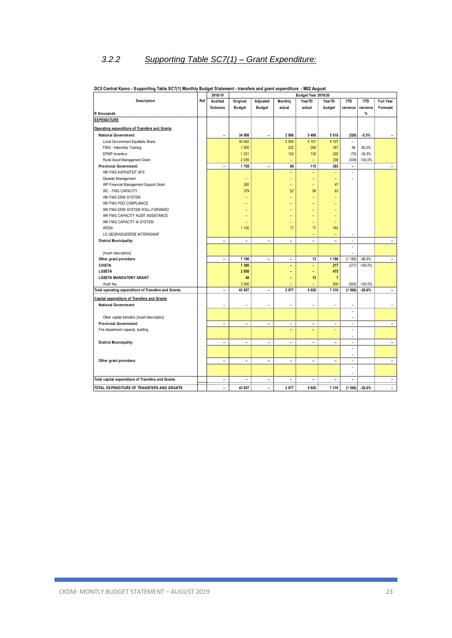### *3.2.2 Supporting Table SC7(1) – Grant Expenditure:*

|                                                      |     | 2018/19                      | Budget Year 2019/20      |                              |                          |                          |                          |                          |                       |                          |  |
|------------------------------------------------------|-----|------------------------------|--------------------------|------------------------------|--------------------------|--------------------------|--------------------------|--------------------------|-----------------------|--------------------------|--|
| Description                                          | Ref | Audited                      | Original                 | Adjusted                     | Monthly                  | YearTD                   | YearTD                   | <b>YTD</b>               | <b>YTD</b>            | <b>Full Year</b>         |  |
|                                                      |     | Outcome                      | <b>Budget</b>            | <b>Budget</b>                | actual                   | actual                   | budget                   | variance                 | variance              | Forecast                 |  |
| R thousands                                          |     |                              |                          |                              |                          |                          |                          |                          | %                     |                          |  |
| <b>EXPENDITURE</b>                                   |     |                              |                          |                              |                          |                          |                          |                          |                       |                          |  |
| Operating expenditure of Transfers and Grants        |     |                              |                          |                              |                          |                          |                          |                          |                       |                          |  |
| <b>National Government:</b>                          |     | $\overline{\phantom{a}}$     | 34 908                   | $\overline{\phantom{a}}$     | 2 9 0 8                  | 5 4 9 8                  | 5818                     | (320)                    | $-5,5%$               | $\overline{\phantom{a}}$ |  |
| Local Gov ernment Equitable Share                    |     |                              | 30 642                   |                              | 2 5 5 4                  | 5 107                    | 5 107                    | $\overline{a}$           |                       |                          |  |
| FMG - Internship Training                            |     |                              | 1 000                    |                              | 232                      | 260                      | 167                      | 94                       | 56,2%                 |                          |  |
| EPWP Incentive                                       |     |                              | 1 2 3 1                  |                              | 123                      | 130                      | 205                      | (75)                     | $-36,5%$              |                          |  |
| Rural Asset Management Grant                         |     |                              | 2 0 3 5                  |                              |                          | $\overline{\phantom{0}}$ | 339                      | (339)                    | $-100,0%$             |                          |  |
| <b>Provincial Government:</b>                        |     | $\qquad \qquad \blacksquare$ | 1759                     | $\qquad \qquad \blacksquare$ | 69                       | 115                      | 293                      | $\overline{\phantom{0}}$ |                       | $\overline{\phantom{0}}$ |  |
| WK FMG KAPASITEIT AFS                                |     |                              |                          |                              | ۳                        | $\qquad \qquad -$        | $\qquad \qquad -$        | $\overline{a}$           |                       |                          |  |
| Disaster Management                                  |     |                              | $\overline{\phantom{0}}$ |                              | ÷                        | $\overline{\phantom{a}}$ | $\equiv$                 | $\overline{\phantom{0}}$ |                       |                          |  |
| WP Financial Management Support Grant                |     |                              | 280                      |                              |                          | ÷                        | 47                       |                          |                       |                          |  |
| WC - FMG CAPACITY                                    |     |                              | 379                      |                              | 52                       | 99                       | 63                       |                          |                       |                          |  |
| WK FMG ERM SYSTEM                                    |     |                              |                          |                              | ۳                        | $\overline{\phantom{0}}$ | ۳                        |                          |                       |                          |  |
| WK FMG PDO COMPLIANCE                                |     |                              |                          |                              |                          | ÷                        |                          |                          |                       |                          |  |
| WK FMG ERM SYSTEM ROLL-FORWARD                       |     |                              |                          |                              |                          | L,                       |                          |                          |                       |                          |  |
| WK FMG CAPACITY AUDIT ASSISTANCE                     |     |                              |                          |                              |                          | $\overline{\phantom{0}}$ | -                        |                          |                       |                          |  |
| WK FMG CAPACITY IA SYSTEM                            |     |                              |                          |                              | ۰                        | $\overline{\phantom{0}}$ | ۰                        |                          |                       |                          |  |
| <b>WOSA</b>                                          |     |                              | 1 100                    |                              | 17                       | 17                       | 183                      |                          |                       |                          |  |
| LG GEGRADUEERDE INTERNSKAP                           |     |                              |                          |                              |                          | $\overline{a}$           | $\overline{\phantom{a}}$ | $\overline{a}$           |                       |                          |  |
| <b>District Municipality:</b>                        |     | $\overline{\phantom{a}}$     | $\overline{a}$           | $\overline{a}$               | L,                       |                          |                          | $\overline{a}$           |                       | $\overline{\phantom{0}}$ |  |
|                                                      |     |                              |                          |                              |                          |                          |                          | $\overline{\phantom{0}}$ |                       |                          |  |
|                                                      |     |                              |                          |                              |                          |                          |                          |                          |                       |                          |  |
| [insert description]                                 |     | $\overline{\phantom{a}}$     |                          | $\overline{\phantom{0}}$     |                          |                          | 1 1 9 8                  |                          |                       | $\overline{a}$           |  |
| Other grant providers:<br><b>CHIETA</b>              |     |                              | 7 190<br>1 300           |                              | $\overline{\phantom{a}}$ | 13<br>$\qquad \qquad -$  | 217                      | (1186)<br>(217)          | $-98,9%$<br>$-100,0%$ |                          |  |
| LGSETA                                               |     |                              | 2 8 5 0                  |                              | ٠                        |                          | 475                      |                          |                       |                          |  |
| <b>LGSETA MANDATORY GRANT</b>                        |     |                              | 40                       |                              | ٠                        | $\qquad \qquad -$        | $\overline{7}$           |                          |                       |                          |  |
| Audit fee                                            |     |                              | 3 000                    |                              | ٠                        | 13                       | 500                      |                          | $-100,0%$             |                          |  |
|                                                      |     | $\overline{\phantom{a}}$     | 43 857                   | $\overline{\phantom{a}}$     | 2977                     | 5 6 26                   |                          | (500)                    |                       | $\overline{\phantom{a}}$ |  |
| Total operating expenditure of Transfers and Grants: |     |                              |                          |                              |                          |                          | 7 3 1 0                  | (1506)                   | $-20,6%$              |                          |  |
| <b>Capital expenditure of Transfers and Grants</b>   |     |                              |                          |                              |                          |                          |                          |                          |                       |                          |  |
| <b>National Government:</b>                          |     | $\overline{a}$               | $\overline{a}$           | $\overline{a}$               | $\overline{a}$           | $\overline{a}$           | L,                       | $\overline{a}$           |                       | $\overline{\phantom{a}}$ |  |
|                                                      |     |                              |                          |                              |                          |                          |                          | $\overline{\phantom{0}}$ |                       |                          |  |
| Other capital transfers [insert description]         |     |                              |                          |                              |                          |                          |                          | $\overline{a}$           |                       |                          |  |
| <b>Provincial Government:</b>                        |     | $\overline{\phantom{a}}$     | ÷,                       | $\overline{\phantom{0}}$     | $\overline{\phantom{a}}$ | $\overline{a}$           | ÷,                       | $\overline{a}$           |                       | $\overline{a}$           |  |
| Fire department capacity building                    |     |                              |                          |                              | ۰                        | $\overline{\phantom{a}}$ |                          | L,                       |                       |                          |  |
|                                                      |     |                              |                          |                              |                          |                          |                          | $\overline{\phantom{a}}$ |                       |                          |  |
| <b>District Municipality:</b>                        |     | $\overline{\phantom{0}}$     |                          | $\overline{a}$               | ۰                        | $\overline{a}$           | ٠                        | $\overline{a}$           |                       | $\overline{\phantom{0}}$ |  |
|                                                      |     |                              |                          |                              |                          |                          |                          | $\overline{\phantom{0}}$ |                       |                          |  |
|                                                      |     |                              |                          |                              |                          |                          |                          | $\overline{\phantom{0}}$ |                       |                          |  |
| Other grant providers:                               |     | $\overline{\phantom{a}}$     | $\overline{\phantom{a}}$ | $\overline{\phantom{a}}$     | $\overline{\phantom{a}}$ | $\overline{\phantom{a}}$ | $\overline{\phantom{a}}$ | $\overline{\phantom{a}}$ |                       | $\overline{\phantom{0}}$ |  |
|                                                      |     |                              |                          |                              |                          |                          |                          | $\overline{a}$           |                       |                          |  |
|                                                      |     |                              |                          |                              |                          |                          |                          | $\overline{a}$           |                       |                          |  |
| Total capital expenditure of Transfers and Grants    |     | $\overline{\phantom{0}}$     | $\overline{\phantom{a}}$ | $\overline{\phantom{a}}$     | $\overline{\phantom{0}}$ | $\overline{\phantom{a}}$ | ٠                        | $\overline{\phantom{0}}$ |                       | $\overline{\phantom{a}}$ |  |
| TOTAL EXPENDITURE OF TRANSFERS AND GRANTS            |     | $\overline{a}$               | 43 857                   | $\overline{a}$               | 2977                     | 5 6 26                   | 7 3 1 0                  | (1506)                   | $-20,6%$              | $\overline{a}$           |  |

#### **DC5 Central Karoo - Supporting Table SC7(1) Monthly Budget Statement - transfers and grant expenditure - M02 August**